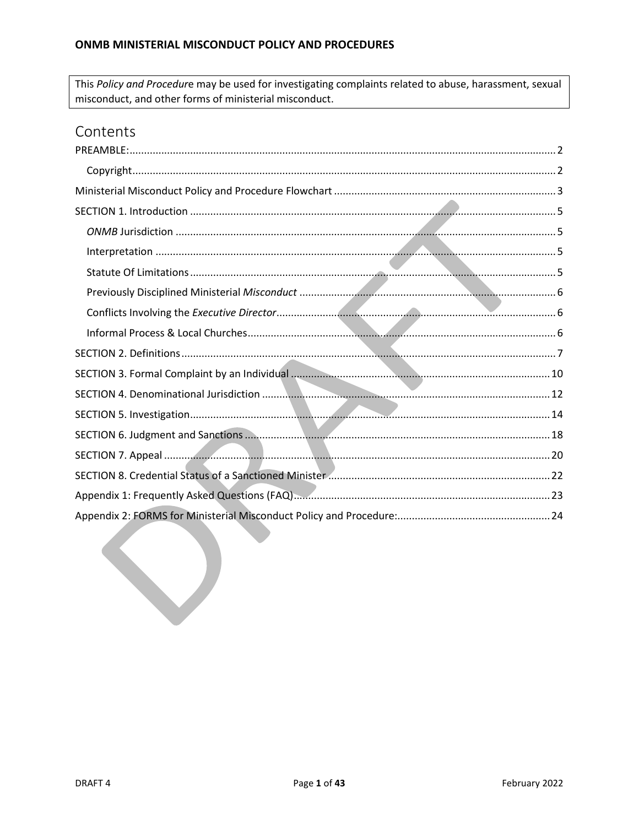This Policy and Procedure may be used for investigating complaints related to abuse, harassment, sexual misconduct, and other forms of ministerial misconduct.

# Contents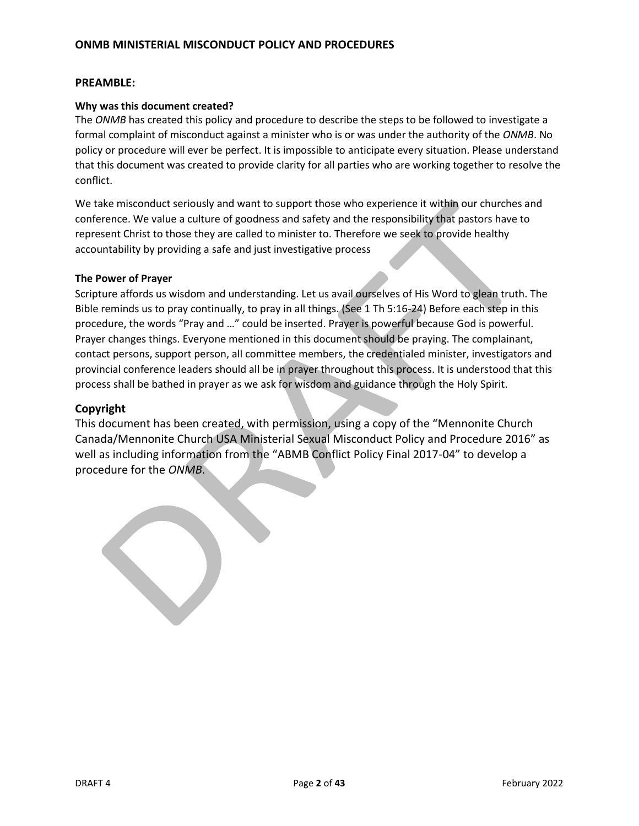### <span id="page-1-0"></span>**PREAMBLE:**

#### **Why was this document created?**

The *ONMB* has created this policy and procedure to describe the steps to be followed to investigate a formal complaint of misconduct against a minister who is or was under the authority of the *ONMB*. No policy or procedure will ever be perfect. It is impossible to anticipate every situation. Please understand that this document was created to provide clarity for all parties who are working together to resolve the conflict.

We take misconduct seriously and want to support those who experience it within our churches and conference. We value a culture of goodness and safety and the responsibility that pastors have to represent Christ to those they are called to minister to. Therefore we seek to provide healthy accountability by providing a safe and just investigative process

#### **The Power of Prayer**

Scripture affords us wisdom and understanding. Let us avail ourselves of His Word to glean truth. The Bible reminds us to pray continually, to pray in all things. (See 1 Th 5:16-24) Before each step in this procedure, the words "Pray and …" could be inserted. Prayer is powerful because God is powerful. Prayer changes things. Everyone mentioned in this document should be praying. The complainant, contact persons, support person, all committee members, the credentialed minister, investigators and provincial conference leaders should all be in prayer throughout this process. It is understood that this process shall be bathed in prayer as we ask for wisdom and guidance through the Holy Spirit.

#### <span id="page-1-1"></span>**Copyright**

This document has been created, with permission, using a copy of the "Mennonite Church Canada/Mennonite Church USA Ministerial Sexual Misconduct Policy and Procedure 2016" as well as including information from the "ABMB Conflict Policy Final 2017-04" to develop a procedure for the *ONMB*.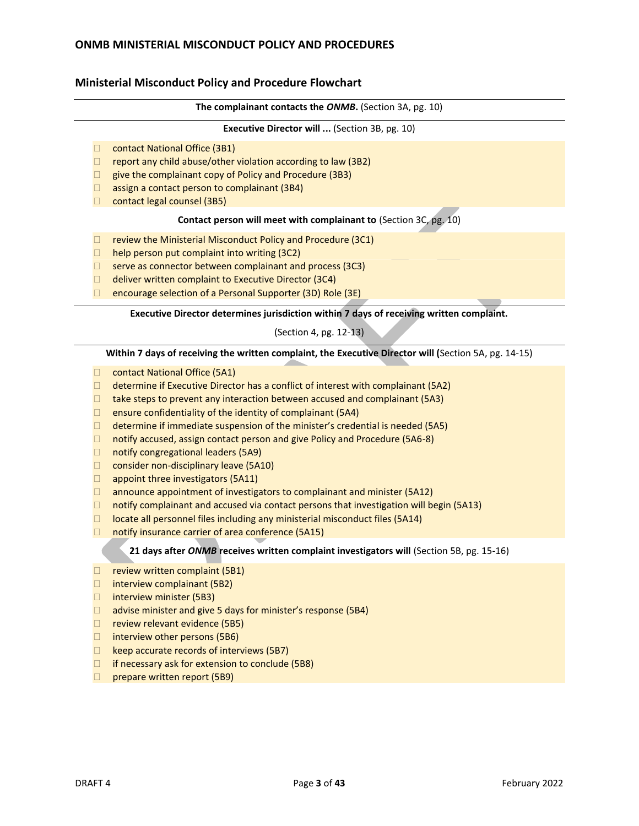### <span id="page-2-0"></span>**Ministerial Misconduct Policy and Procedure Flowchart**

#### **The complainant contacts the** *ONMB***.** (Section 3A, pg. 10)

#### **Executive Director will ...** (Section 3B, pg. 10)

- □ contact National Office (3B1)
- $\Box$  report any child abuse/other violation according to law (3B2)
- $\Box$  give the complainant copy of Policy and Procedure (3B3)
- $\Box$  assign a contact person to complainant (3B4)
- □ contact legal counsel (3B5)

#### **Contact person will meet with complainant to** (Section 3C, pg. 10)

- $\Box$  review the Ministerial Misconduct Policy and Procedure (3C1)
- $\Box$  help person put complaint into writing (3C2)
- $\Box$  serve as connector between complainant and process (3C3)
- □ deliver written complaint to Executive Director (3C4)
- $\Box$  encourage selection of a Personal Supporter (3D) Role (3E)

#### **Executive Director determines jurisdiction within 7 days of receiving written complaint.**

#### (Section 4, pg. 12-13)

#### **Within 7 days of receiving the written complaint, the Executive Director will (**Section 5A, pg. 14-15)

- □ contact National Office (5A1)
- $\Box$  determine if Executive Director has a conflict of interest with complainant (5A2)
- $\Box$  take steps to prevent any interaction between accused and complainant (5A3)
- $\Box$  ensure confidentiality of the identity of complainant (5A4)
- $\Box$  determine if immediate suspension of the minister's credential is needed (5A5)
- $\Box$  notify accused, assign contact person and give Policy and Procedure (5A6-8)
- □ notify congregational leaders (5A9)
- $\Box$  consider non-disciplinary leave (5A10)
- $\Box$  appoint three investigators (5A11)
- $\Box$  announce appointment of investigators to complainant and minister (5A12)
- $\Box$  notify complainant and accused via contact persons that investigation will begin (5A13)
- $\Box$  locate all personnel files including any ministerial misconduct files (5A14)
- $\Box$  notify insurance carrier of area conference (5A15)

#### **21 days after** *ONMB* **receives written complaint investigators will** (Section 5B, pg. 15-16)

- $\Box$  review written complaint (5B1)
- $\Box$  interview complainant (5B2)
- $\Box$  interview minister (5B3)
- $\Box$  advise minister and give 5 days for minister's response (5B4)
- $\Box$  review relevant evidence (5B5)
- $\Box$  interview other persons (5B6)
- $\Box$  keep accurate records of interviews (5B7)
- $\Box$  if necessary ask for extension to conclude (5B8)
- $\Box$  prepare written report (5B9)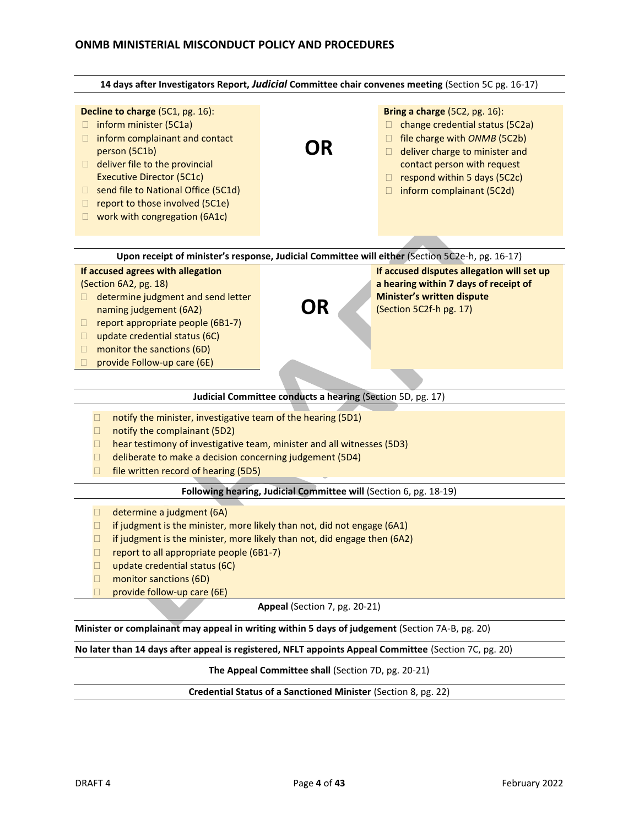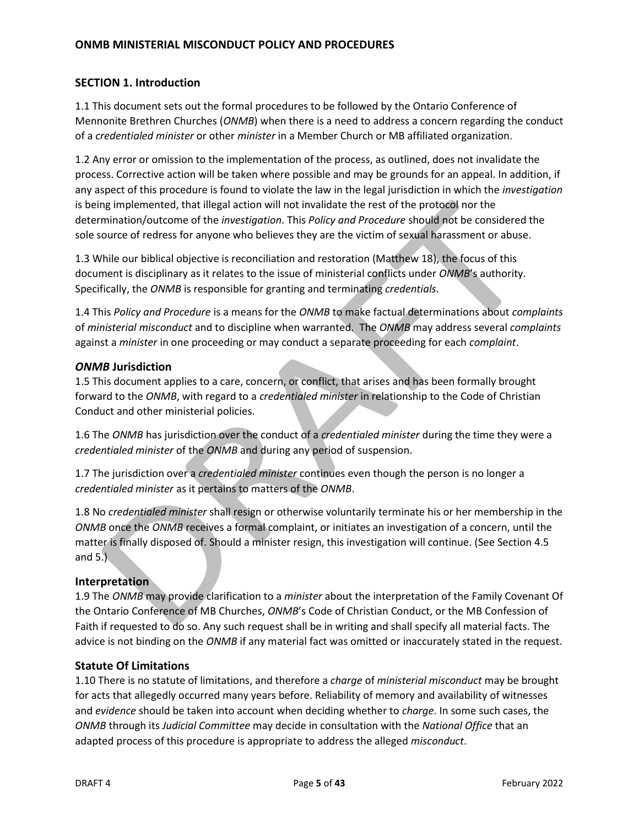# <span id="page-4-0"></span>**SECTION 1. Introduction**

1.1 This document sets out the formal procedures to be followed by the Ontario Conference of Mennonite Brethren Churches (*ONMB*) when there is a need to address a concern regarding the conduct of a *credentialed minister* or other *minister* in a Member Church or MB affiliated organization.

1.2 Any error or omission to the implementation of the process, as outlined, does not invalidate the process. Corrective action will be taken where possible and may be grounds for an appeal. In addition, if any aspect of this procedure is found to violate the law in the legal jurisdiction in which the *investigation*  is being implemented, that illegal action will not invalidate the rest of the protocol nor the determination/outcome of the *investigation*. This *Policy and Procedure* should not be considered the sole source of redress for anyone who believes they are the victim of sexual harassment or abuse.

1.3 While our biblical objective is reconciliation and restoration (Matthew 18), the focus of this document is disciplinary as it relates to the issue of ministerial conflicts under *ONMB*'s authority. Specifically, the *ONMB* is responsible for granting and terminating *credentials*.

1.4 This *Policy and Procedure* is a means for the *ONMB* to make factual determinations about *complaints*  of *ministerial misconduct* and to discipline when warranted. The *ONMB* may address several *complaints*  against a *minister* in one proceeding or may conduct a separate proceeding for each *complaint*.

### <span id="page-4-1"></span>*ONMB* **Jurisdiction**

1.5 This document applies to a care, concern, or conflict, that arises and has been formally brought forward to the *ONMB*, with regard to a *credentialed minister* in relationship to the Code of Christian Conduct and other ministerial policies.

1.6 The *ONMB* has jurisdiction over the conduct of a *credentialed minister* during the time they were a *credentialed minister* of the *ONMB* and during any period of suspension.

1.7 The jurisdiction over a *credentialed minister* continues even though the person is no longer a *credentialed minister* as it pertains to matters of the *ONMB*.

1.8 No *credentialed minister* shall resign or otherwise voluntarily terminate his or her membership in the *ONMB* once the *ONMB* receives a formal complaint, or initiates an investigation of a concern, until the matter is finally disposed of. Should a minister resign, this investigation will continue. (See Section 4.5 and  $5.$ ).

## <span id="page-4-2"></span>**Interpretation**

1.9 The *ONMB* may provide clarification to a *minister* about the interpretation of the Family Covenant Of the Ontario Conference of MB Churches, *ONMB*'s Code of Christian Conduct, or the MB Confession of Faith if requested to do so. Any such request shall be in writing and shall specify all material facts. The advice is not binding on the *ONMB* if any material fact was omitted or inaccurately stated in the request.

## <span id="page-4-3"></span>**Statute Of Limitations**

1.10 There is no statute of limitations, and therefore a *charge* of *ministerial misconduct* may be brought for acts that allegedly occurred many years before. Reliability of memory and availability of witnesses and *evidence* should be taken into account when deciding whether to *charge*. In some such cases, the *ONMB* through its *Judicial Committee* may decide in consultation with the *National Office* that an adapted process of this procedure is appropriate to address the alleged *misconduct*.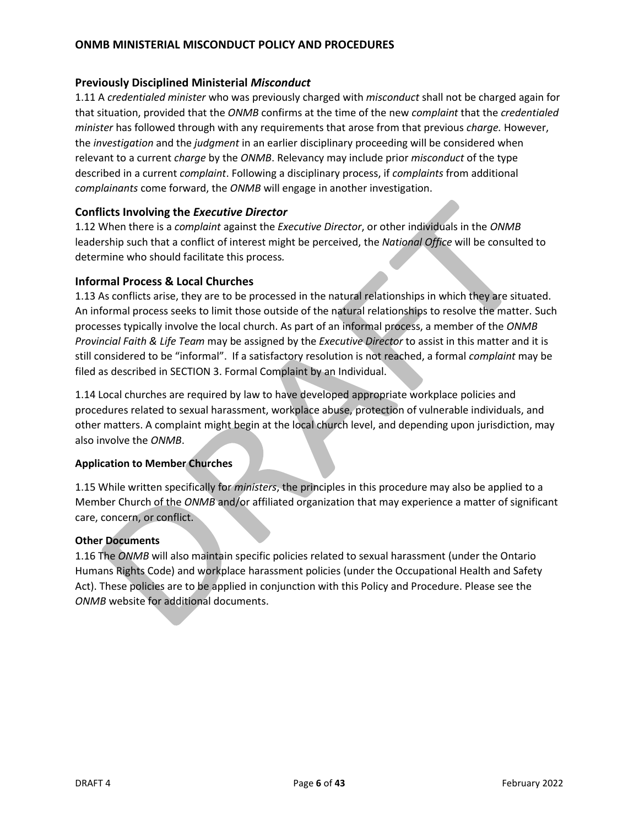### <span id="page-5-0"></span>**Previously Disciplined Ministerial** *Misconduct*

1.11 A *credentialed minister* who was previously charged with *misconduct* shall not be charged again for that situation, provided that the *ONMB* confirms at the time of the new *complaint* that the *credentialed minister* has followed through with any requirements that arose from that previous *charge.* However, the *investigation* and the *judgment* in an earlier disciplinary proceeding will be considered when relevant to a current *charge* by the *ONMB*. Relevancy may include prior *misconduct* of the type described in a current *complaint*. Following a disciplinary process, if *complaints* from additional *complainants* come forward, the *ONMB* will engage in another investigation.

## <span id="page-5-1"></span>**Conflicts Involving the** *Executive Director*

1.12 When there is a *complaint* against the *Executive Director*, or other individuals in the *ONMB* leadership such that a conflict of interest might be perceived, the *National Office* will be consulted to determine who should facilitate this process*.*

### <span id="page-5-2"></span>**Informal Process & Local Churches**

1.13 As conflicts arise, they are to be processed in the natural relationships in which they are situated. An informal process seeks to limit those outside of the natural relationships to resolve the matter. Such processes typically involve the local church. As part of an informal process, a member of the *ONMB Provincial Faith & Life Team* may be assigned by the *Executive Director* to assist in this matter and it is still considered to be "informal". If a satisfactory resolution is not reached, a formal *complaint* may be filed as described in [SECTION 3. Formal Complaint by an Individual.](#page-9-0)

1.14 Local churches are required by law to have developed appropriate workplace policies and procedures related to sexual harassment, workplace abuse, protection of vulnerable individuals, and other matters. A complaint might begin at the local church level, and depending upon jurisdiction, may also involve the *ONMB*.

### **Application to Member Churches**

1.15 While written specifically for *ministers*, the principles in this procedure may also be applied to a Member Church of the *ONMB* and/or affiliated organization that may experience a matter of significant care, concern, or conflict.

### **Other Documents**

1.16 The *ONMB* will also maintain specific policies related to sexual harassment (under the Ontario Humans Rights Code) and workplace harassment policies (under the Occupational Health and Safety Act). These policies are to be applied in conjunction with this Policy and Procedure. Please see the *ONMB* website for additional documents.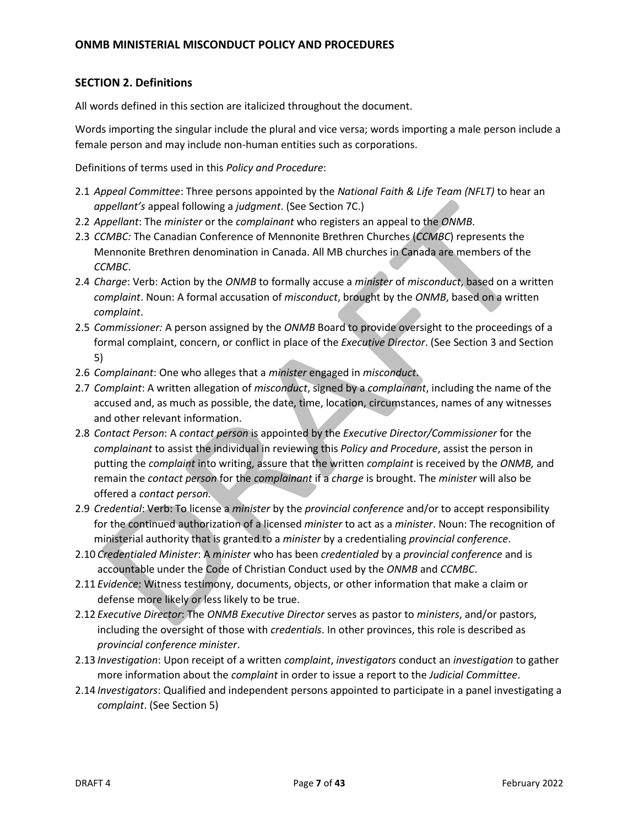# <span id="page-6-0"></span>**SECTION 2. Definitions**

All words defined in this section are italicized throughout the document.

Words importing the singular include the plural and vice versa; words importing a male person include a female person and may include non-human entities such as corporations.

Definitions of terms used in this *Policy and Procedure*:

- 2.1 *Appeal Committee*: Three persons appointed by the *National Faith & Life Team (NFLT)* to hear an *appellant's* appeal following a *judgment*. (See Section 7C.)
- 2.2 *Appellant*: The *minister* or the *complainant* who registers an appeal to the *ONMB*.
- 2.3 *CCMBC:* The Canadian Conference of Mennonite Brethren Churches (*CCMBC*) represents the Mennonite Brethren denomination in Canada. All MB churches in Canada are members of the *CCMBC*.
- 2.4 *Charge*: Verb: Action by the *ONMB* to formally accuse a *minister* of *misconduct*, based on a written *complaint*. Noun: A formal accusation of *misconduct*, brought by the *ONMB*, based on a written *complaint*.
- 2.5 *Commissioner:* A person assigned by the *ONMB* Board to provide oversight to the proceedings of a formal complaint, concern, or conflict in place of the *Executive Director*. (See Section 3 and Section 5)
- 2.6 *Complainant*: One who alleges that a *minister* engaged in *misconduct*.
- 2.7 *Complaint*: A written allegation of *misconduct*, signed by a *complainant*, including the name of the accused and, as much as possible, the date, time, location, circumstances, names of any witnesses and other relevant information.
- 2.8 *Contact Person*: A *contact person* is appointed by the *Executive Director/Commissioner* for the *complainant* to assist the individual in reviewing this *Policy and Procedure*, assist the person in putting the *complaint* into writing, assure that the written *complaint* is received by the *ONMB,* and remain the *contact person* for the *complainant* if a *charge* is brought. The *minister* will also be offered a *contact person.*
- 2.9 *Credential*: Verb: To license a *minister* by the *provincial conference* and/or to accept responsibility for the continued authorization of a licensed *minister* to act as a *minister*. Noun: The recognition of ministerial authority that is granted to a *minister* by a credentialing *provincial conference*.
- 2.10 *Credentialed Minister*: A *minister* who has been *credentialed* by a *provincial conference* and is accountable under the Code of Christian Conduct used by the *ONMB* and *CCMBC*.
- 2.11 *Evidence*: Witness testimony, documents, objects, or other information that make a claim or defense more likely or less likely to be true.
- 2.12 *Executive Director*: The *ONMB Executive Director* serves as pastor to *ministers*, and/or pastors, including the oversight of those with *credentials*. In other provinces, this role is described as *provincial conference minister*.
- 2.13 *Investigation*: Upon receipt of a written *complaint*, *investigators* conduct an *investigation* to gather more information about the *complaint* in order to issue a report to the *Judicial Committee*.
- 2.14 *Investigators*: Qualified and independent persons appointed to participate in a panel investigating a *complaint*. (See Section 5)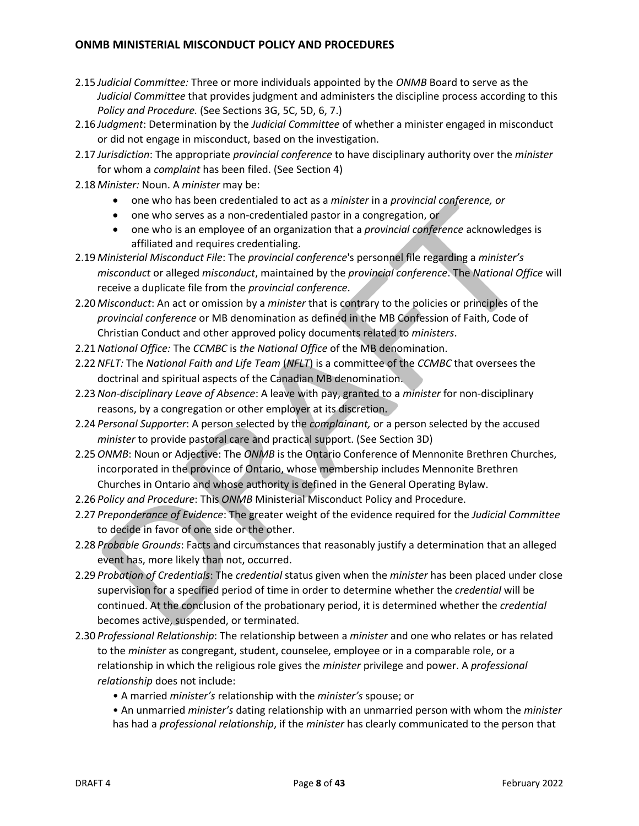- 2.15 *Judicial Committee:* Three or more individuals appointed by the *ONMB* Board to serve as the *Judicial Committee* that provides judgment and administers the discipline process according to this *Policy and Procedure.* (See Sections 3G, 5C, 5D, 6, 7.)
- 2.16 *Judgment*: Determination by the *Judicial Committee* of whether a minister engaged in misconduct or did not engage in misconduct, based on the investigation.
- 2.17 *Jurisdiction*: The appropriate *provincial conference* to have disciplinary authority over the *minister*  for whom a *complaint* has been filed. (See Section 4)
- 2.18 *Minister:* Noun. A *minister* may be:
	- one who has been credentialed to act as a *minister* in a *provincial conference, or*
	- one who serves as a non-credentialed pastor in a congregation, or
	- one who is an employee of an organization that a *provincial conference* acknowledges is affiliated and requires credentialing.
- 2.19 *Ministerial Misconduct File*: The *provincial conference*'s personnel file regarding a *minister's misconduct* or alleged *misconduct*, maintained by the *provincial conference*. The *National Office* will receive a duplicate file from the *provincial conference*.
- 2.20 *Misconduct*: An act or omission by a *minister* that is contrary to the policies or principles of the *provincial conference* or MB denomination as defined in the MB Confession of Faith, Code of Christian Conduct and other approved policy documents related to *ministers*.
- 2.21*National Office:* The *CCMBC* is *the National Office* of the MB denomination.
- 2.22*NFLT:* The *National Faith and Life Team* (*NFLT*) is a committee of the *CCMBC* that oversees the doctrinal and spiritual aspects of the Canadian MB denomination.
- 2.23*Non-disciplinary Leave of Absence*: A leave with pay, granted to a *minister* for non-disciplinary reasons, by a congregation or other employer at its discretion.
- 2.24 *Personal Supporter*: A person selected by the *complainant,* or a person selected by the accused *minister* to provide pastoral care and practical support. (See Section 3D)
- 2.25*ONMB*: Noun or Adjective: The *ONMB* is the Ontario Conference of Mennonite Brethren Churches, incorporated in the province of Ontario, whose membership includes Mennonite Brethren Churches in Ontario and whose authority is defined in the General Operating Bylaw.
- 2.26 *Policy and Procedure*: This *ONMB* Ministerial Misconduct Policy and Procedure.
- 2.27 *Preponderance of Evidence*: The greater weight of the evidence required for the *Judicial Committee*  to decide in favor of one side or the other.
- 2.28 *Probable Grounds*: Facts and circumstances that reasonably justify a determination that an alleged event has, more likely than not, occurred.
- 2.29 *Probation of Credentials*: The *credential* status given when the *minister* has been placed under close supervision for a specified period of time in order to determine whether the *credential* will be continued. At the conclusion of the probationary period, it is determined whether the *credential*  becomes active, suspended, or terminated.
- 2.30 *Professional Relationship*: The relationship between a *minister* and one who relates or has related to the *minister* as congregant, student, counselee, employee or in a comparable role, or a relationship in which the religious role gives the *minister* privilege and power. A *professional relationship* does not include:
	- A married *minister's* relationship with the *minister's* spouse; or
	- An unmarried *minister's* dating relationship with an unmarried person with whom the *minister*  has had a *professional relationship*, if the *minister* has clearly communicated to the person that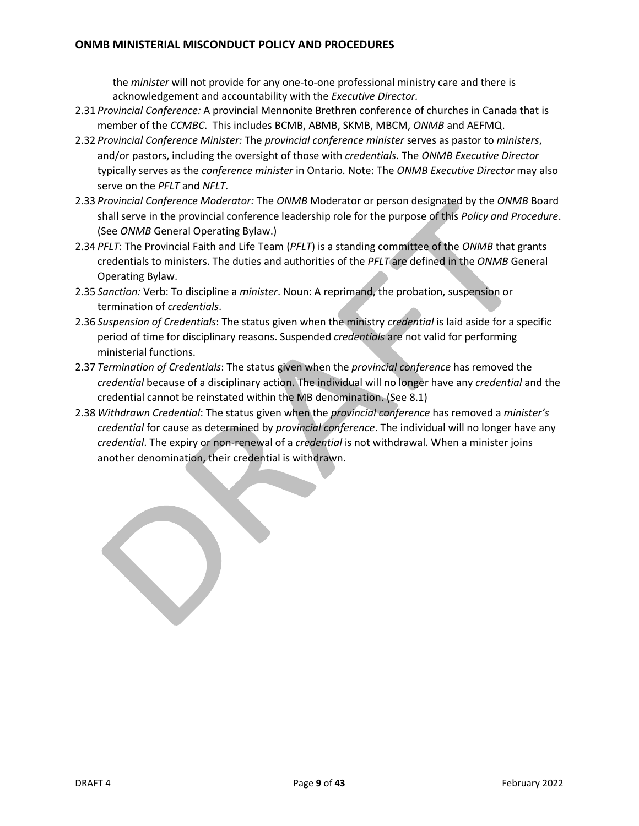the *minister* will not provide for any one-to-one professional ministry care and there is acknowledgement and accountability with the *Executive Director.*

- 2.31 *Provincial Conference:* A provincial Mennonite Brethren conference of churches in Canada that is member of the *CCMBC*. This includes BCMB, ABMB, SKMB, MBCM, *ONMB* and AEFMQ.
- 2.32 *Provincial Conference Minister:* The *provincial conference minister* serves as pastor to *ministers*, and/or pastors, including the oversight of those with *credentials*. The *ONMB Executive Director* typically serves as the *conference minister* in Ontario*.* Note: The *ONMB Executive Director* may also serve on the *PFLT* and *NFLT*.
- 2.33 *Provincial Conference Moderator:* The *ONMB* Moderator or person designated by the *ONMB* Board shall serve in the provincial conference leadership role for the purpose of this *Policy and Procedure*. (See *ONMB* General Operating Bylaw.)
- 2.34 *PFLT*: The Provincial Faith and Life Team (*PFLT*) is a standing committee of the *ONMB* that grants credentials to ministers. The duties and authorities of the *PFLT* are defined in the *ONMB* General Operating Bylaw.
- 2.35 *Sanction:* Verb: To discipline a *minister*. Noun: A reprimand, the probation, suspension or termination of *credentials*.
- 2.36 *Suspension of Credentials*: The status given when the ministry *credential* is laid aside for a specific period of time for disciplinary reasons. Suspended *credentials* are not valid for performing ministerial functions.
- 2.37 *Termination of Credentials*: The status given when the *provincial conference* has removed the *credential* because of a disciplinary action. The individual will no longer have any *credential* and the credential cannot be reinstated within the MB denomination. (See 8.1)
- 2.38 *Withdrawn Credential*: The status given when the *provincial conference* has removed a *minister's credential* for cause as determined by *provincial conference*. The individual will no longer have any *credential*. The expiry or non-renewal of a *credential* is not withdrawal. When a minister joins another denomination, their credential is withdrawn.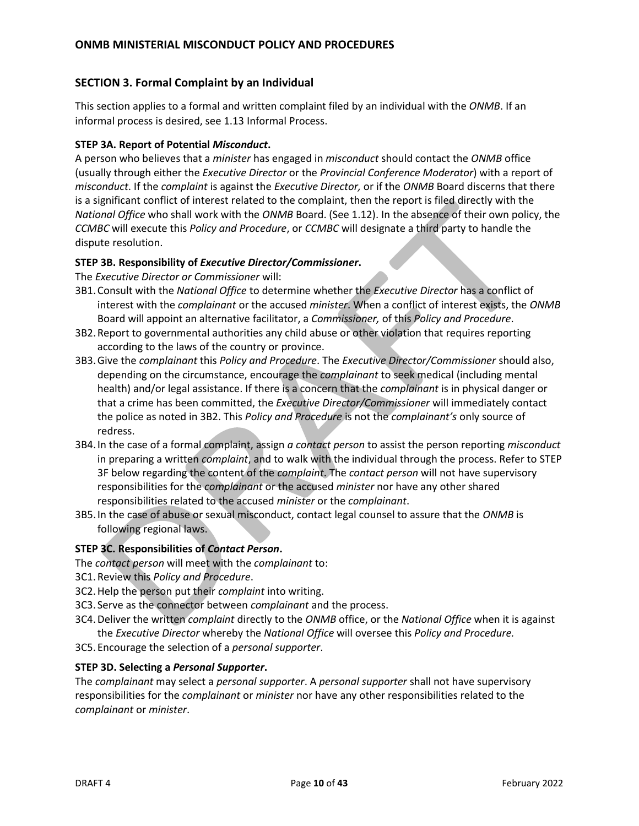### <span id="page-9-0"></span>**SECTION 3. Formal Complaint by an Individual**

This section applies to a formal and written complaint filed by an individual with the *ONMB*. If an informal process is desired, see 1.13 Informal Process.

### **STEP 3A. Report of Potential** *Misconduct***.**

A person who believes that a *minister* has engaged in *misconduct* should contact the *ONMB* office (usually through either the *Executive Director* or the *Provincial Conference Moderator*) with a report of *misconduct*. If the *complaint* is against the *Executive Director,* or if the *ONMB* Board discerns that there is a significant conflict of interest related to the complaint, then the report is filed directly with the *National Office* who shall work with the *ONMB* Board. (See 1.12). In the absence of their own policy, the *CCMBC* will execute this *Policy and Procedure*, or *CCMBC* will designate a third party to handle the dispute resolution.

### **STEP 3B. Responsibility of** *Executive Director/Commissioner***.**

The *Executive Director or Commissioner* will:

- 3B1.Consult with the *National Office* to determine whether the *Executive Director* has a conflict of interest with the *complainant* or the accused *minister*. When a conflict of interest exists, the *ONMB* Board will appoint an alternative facilitator, a *Commissioner,* of this *Policy and Procedure*.
- 3B2.Report to governmental authorities any child abuse or other violation that requires reporting according to the laws of the country or province.
- 3B3.Give the *complainant* this *Policy and Procedure*. The *Executive Director/Commissioner* should also, depending on the circumstance, encourage the *complainant* to seek medical (including mental health) and/or legal assistance. If there is a concern that the *complainant* is in physical danger or that a crime has been committed, the *Executive Director/Commissioner* will immediately contact the police as noted in 3B2. This *Policy and Procedure* is not the *complainant's* only source of redress.
- 3B4.In the case of a formal complaint, assign *a contact person* to assist the person reporting *misconduct*  in preparing a written *complaint*, and to walk with the individual through the process. Refer to STEP 3F below regarding the content of the *complaint*. The *contact person* will not have supervisory responsibilities for the *complainant* or the accused *minister* nor have any other shared responsibilities related to the accused *minister* or the *complainant*.
- 3B5.In the case of abuse or sexual misconduct, contact legal counsel to assure that the *ONMB* is following regional laws.

### **STEP 3C. Responsibilities of** *Contact Person***.**

The *contact person* will meet with the *complainant* to:

- 3C1.Review this *Policy and Procedure*.
- 3C2.Help the person put their *complaint* into writing.
- 3C3. Serve as the connector between *complainant* and the process.
- 3C4.Deliver the written *complaint* directly to the *ONMB* office, or the *National Office* when it is against the *Executive Director* whereby the *National Office* will oversee this *Policy and Procedure.*
- 3C5. Encourage the selection of a *personal supporter*.

#### **STEP 3D. Selecting a** *Personal Supporter***.**

The *complainant* may select a *personal supporter*. A *personal supporter* shall not have supervisory responsibilities for the *complainant* or *minister* nor have any other responsibilities related to the *complainant* or *minister*.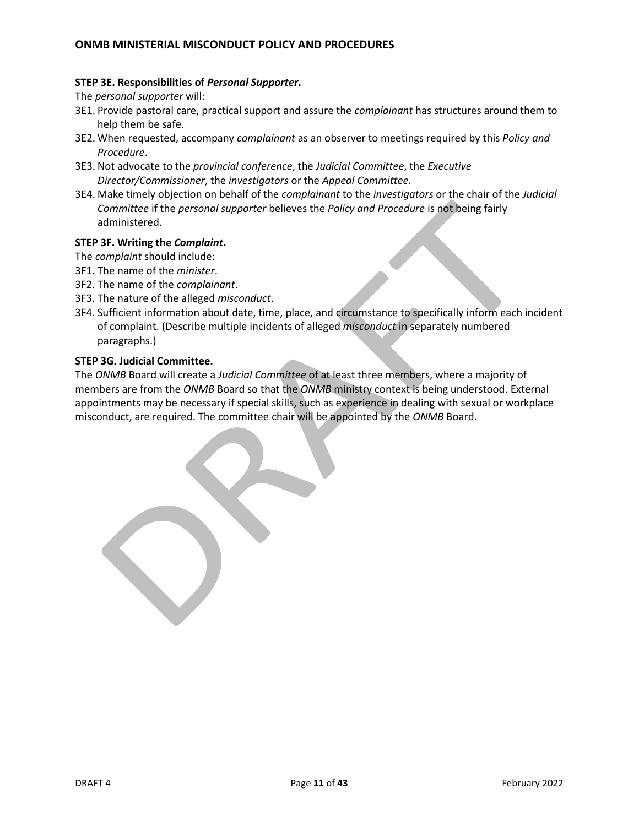#### **STEP 3E. Responsibilities of** *Personal Supporter***.**

The *personal supporter* will:

- 3E1. Provide pastoral care, practical support and assure the *complainant* has structures around them to help them be safe.
- 3E2. When requested, accompany *complainant* as an observer to meetings required by this *Policy and Procedure*.
- 3E3. Not advocate to the *provincial conference*, the *Judicial Committee*, the *Executive Director/Commissioner*, the *investigators* or the *Appeal Committee.*
- 3E4. Make timely objection on behalf of the *complainant* to the *investigators* or the chair of the *Judicial Committee* if the *personal supporter* believes the *Policy and Procedure* is not being fairly administered.

### **STEP 3F. Writing the** *Complaint***.**

- The *complaint* should include:
- 3F1. The name of the *minister*.
- 3F2. The name of the *complainant*.
- 3F3. The nature of the alleged *misconduct*.
- 3F4. Sufficient information about date, time, place, and circumstance to specifically inform each incident of complaint. (Describe multiple incidents of alleged *misconduct* in separately numbered paragraphs.)

### **STEP 3G. Judicial Committee.**

The *ONMB* Board will create a *Judicial Committee* of at least three members, where a majority of members are from the *ONMB* Board so that the *ONMB* ministry context is being understood. External appointments may be necessary if special skills, such as experience in dealing with sexual or workplace misconduct, are required. The committee chair will be appointed by the *ONMB* Board.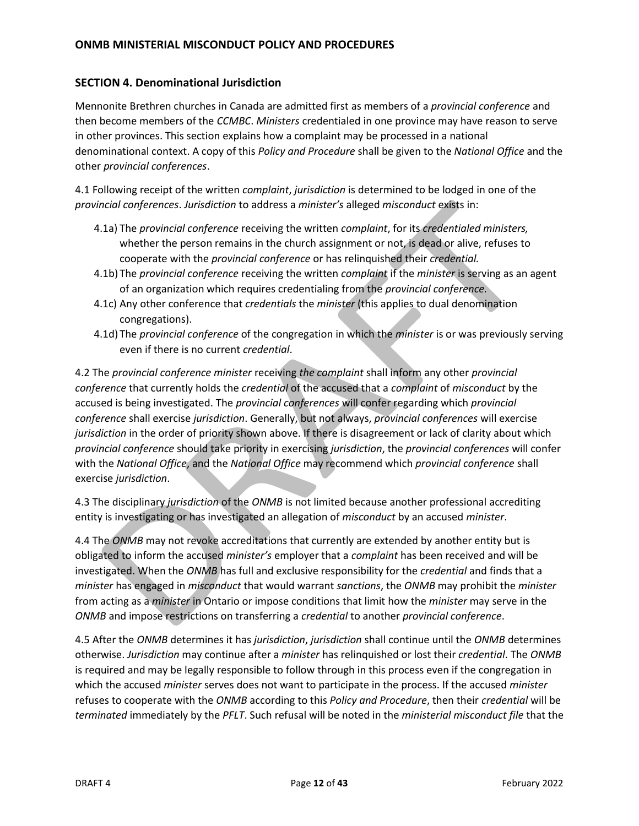# <span id="page-11-0"></span>**SECTION 4. Denominational Jurisdiction**

Mennonite Brethren churches in Canada are admitted first as members of a *provincial conference* and then become members of the *CCMBC*. *Ministers* credentialed in one province may have reason to serve in other provinces. This section explains how a complaint may be processed in a national denominational context. A copy of this *Policy and Procedure* shall be given to the *National Office* and the other *provincial conferences*.

4.1 Following receipt of the written *complaint*, *jurisdiction* is determined to be lodged in one of the *provincial conferences*. *Jurisdiction* to address a *minister's* alleged *misconduct* exists in:

- 4.1a) The *provincial conference* receiving the written *complaint*, for its *credentialed ministers,*  whether the person remains in the church assignment or not, is dead or alive, refuses to cooperate with the *provincial conference* or has relinquished their *credential.*
- 4.1b) The *provincial conference* receiving the written *complaint* if the *minister* is serving as an agent of an organization which requires credentialing from the *provincial conference.*
- 4.1c) Any other conference that *credentials* the *minister* (this applies to dual denomination congregations).
- 4.1d) The *provincial conference* of the congregation in which the *minister* is or was previously serving even if there is no current *credential*.

4.2 The *provincial conference minister* receiving *the complaint* shall inform any other *provincial conference* that currently holds the *credential* of the accused that a *complaint* of *misconduct* by the accused is being investigated. The *provincial conferences* will confer regarding which *provincial conference* shall exercise *jurisdiction*. Generally, but not always, *provincial conferences* will exercise *jurisdiction* in the order of priority shown above. If there is disagreement or lack of clarity about which *provincial conference* should take priority in exercising *jurisdiction*, the *provincial conferences* will confer with the *National Office*, and the *National Office* may recommend which *provincial conference* shall exercise *jurisdiction*.

4.3 The disciplinary *jurisdiction* of the *ONMB* is not limited because another professional accrediting entity is investigating or has investigated an allegation of *misconduct* by an accused *minister*.

4.4 The *ONMB* may not revoke accreditations that currently are extended by another entity but is obligated to inform the accused *minister's* employer that a *complaint* has been received and will be investigated. When the *ONMB* has full and exclusive responsibility for the *credential* and finds that a *minister* has engaged in *misconduct* that would warrant *sanctions*, the *ONMB* may prohibit the *minister*  from acting as a *minister* in Ontario or impose conditions that limit how the *minister* may serve in the *ONMB* and impose restrictions on transferring a *credential* to another *provincial conference*.

4.5 After the *ONMB* determines it has *jurisdiction*, *jurisdiction* shall continue until the *ONMB* determines otherwise. *Jurisdiction* may continue after a *minister* has relinquished or lost their *credential*. The *ONMB* is required and may be legally responsible to follow through in this process even if the congregation in which the accused *minister* serves does not want to participate in the process. If the accused *minister*  refuses to cooperate with the *ONMB* according to this *Policy and Procedure*, then their *credential* will be *terminated* immediately by the *PFLT*. Such refusal will be noted in the *ministerial misconduct file* that the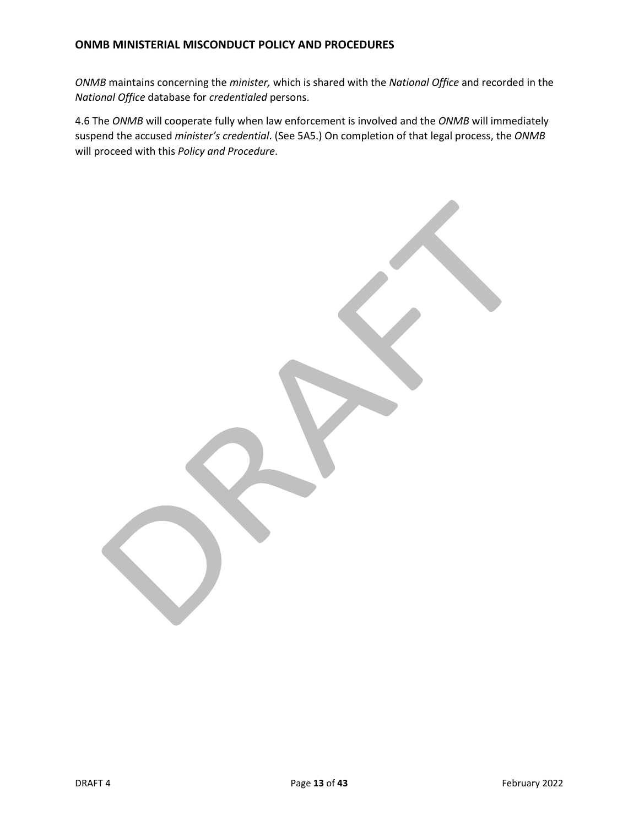*ONMB* maintains concerning the *minister,* which is shared with the *National Office* and recorded in the *National Office* database for *credentialed* persons.

4.6 The *ONMB* will cooperate fully when law enforcement is involved and the *ONMB* will immediately suspend the accused *minister's credential*. (See 5A5.) On completion of that legal process, the *ONMB* will proceed with this *Policy and Procedure*.

**DRAFT 4** Page 13 of 43 Page 13 of 43 February 2022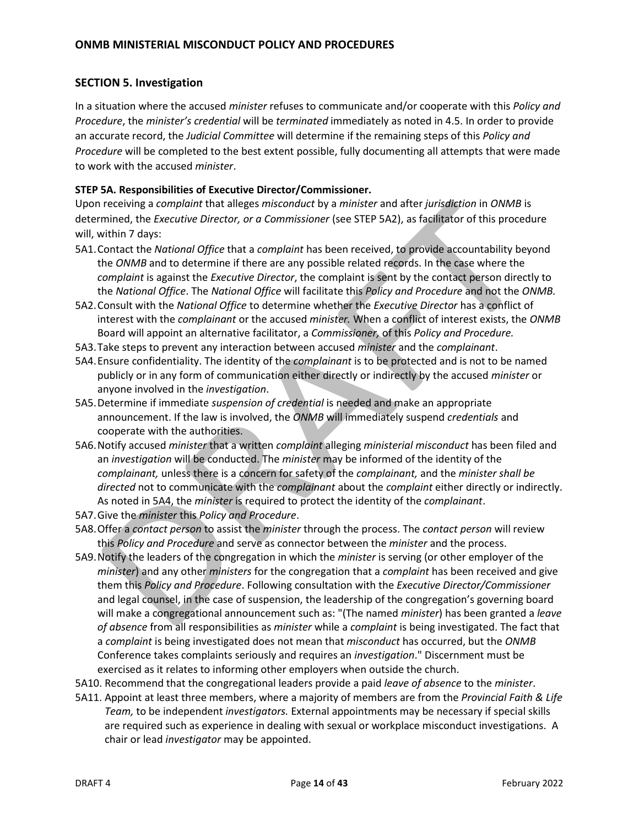### <span id="page-13-0"></span>**SECTION 5. Investigation**

In a situation where the accused *minister* refuses to communicate and/or cooperate with this *Policy and Procedure*, the *minister's credential* will be *terminated* immediately as noted in 4.5. In order to provide an accurate record, the *Judicial Committee* will determine if the remaining steps of this *Policy and Procedure* will be completed to the best extent possible, fully documenting all attempts that were made to work with the accused *minister*.

### **STEP 5A. Responsibilities of Executive Director/Commissioner.**

Upon receiving a *complaint* that alleges *misconduct* by a *minister* and after *jurisdiction* in *ONMB* is determined, the *Executive Director, or a Commissioner* (see STEP 5A2), as facilitator of this procedure will, within 7 days:

- 5A1.Contact the *National Office* that a *complaint* has been received, to provide accountability beyond the *ONMB* and to determine if there are any possible related records. In the case where the *complaint* is against the *Executive Director*, the complaint is sent by the contact person directly to the *National Office*. The *National Office* will facilitate this *Policy and Procedure* and not the *ONMB.*
- 5A2.Consult with the *National Office* to determine whether the *Executive Director* has a conflict of interest with the *complainant* or the accused *minister.* When a conflict of interest exists, the *ONMB*  Board will appoint an alternative facilitator, a *Commissioner,* of this *Policy and Procedure.*
- 5A3.Take steps to prevent any interaction between accused *minister* and the *complainant*.
- 5A4.Ensure confidentiality. The identity of the *complainant* is to be protected and is not to be named publicly or in any form of communication either directly or indirectly by the accused *minister* or anyone involved in the *investigation*.
- 5A5.Determine if immediate *suspension of credential* is needed and make an appropriate announcement. If the law is involved, the *ONMB* will immediately suspend *credentials* and cooperate with the authorities.
- 5A6.Notify accused *minister* that a written *complaint* alleging *ministerial misconduct* has been filed and an *investigation* will be conducted. The *minister* may be informed of the identity of the *complainant,* unless there is a concern for safety of the *complainant,* and the *minister shall be directed* not to communicate with the *complainant* about the *complaint* either directly or indirectly. As noted in 5A4, the *minister* is required to protect the identity of the *complainant*.
- 5A7.Give the *minister* this *Policy and Procedure*.
- 5A8.Offer a *contact person* to assist the *minister* through the process. The *contact person* will review this *Policy and Procedure* and serve as connector between the *minister* and the process.
- 5A9.Notify the leaders of the congregation in which the *minister* is serving (or other employer of the *minister*) and any other *ministers* for the congregation that a *complaint* has been received and give them this *Policy and Procedure*. Following consultation with the *Executive Director/Commissioner*  and legal counsel, in the case of suspension, the leadership of the congregation's governing board will make a congregational announcement such as: "(The named *minister*) has been granted a *leave of absence* from all responsibilities as *minister* while a *complaint* is being investigated. The fact that a *complaint* is being investigated does not mean that *misconduct* has occurred, but the *ONMB*  Conference takes complaints seriously and requires an *investigation*." Discernment must be exercised as it relates to informing other employers when outside the church.
- 5A10. Recommend that the congregational leaders provide a paid *leave of absence* to the *minister*.
- 5A11. Appoint at least three members, where a majority of members are from the *Provincial Faith & Life Team,* to be independent *investigators.* External appointments may be necessary if special skills are required such as experience in dealing with sexual or workplace misconduct investigations. A chair or lead *investigator* may be appointed.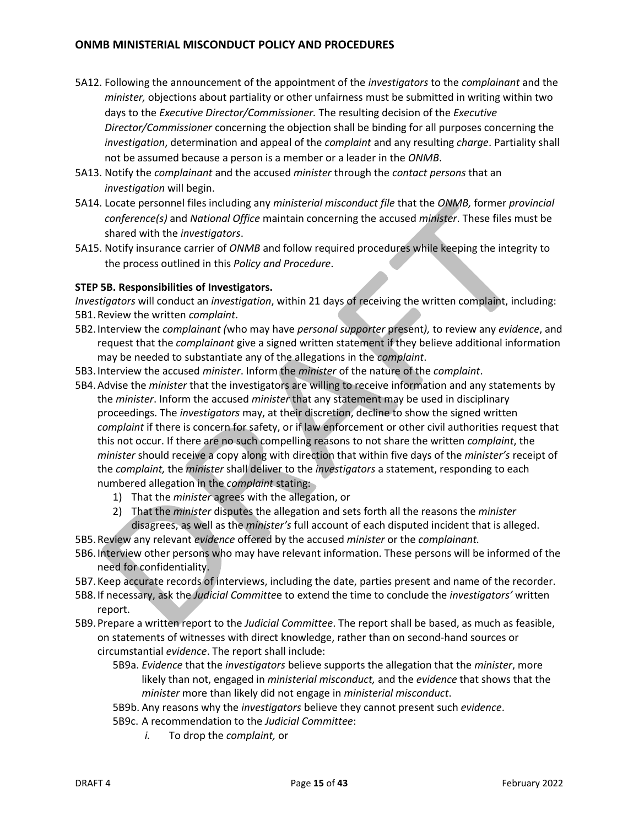- 5A12. Following the announcement of the appointment of the *investigators* to the *complainant* and the *minister,* objections about partiality or other unfairness must be submitted in writing within two days to the *Executive Director/Commissioner.* The resulting decision of the *Executive Director/Commissioner* concerning the objection shall be binding for all purposes concerning the *investigation*, determination and appeal of the *complaint* and any resulting *charge*. Partiality shall not be assumed because a person is a member or a leader in the *ONMB*.
- 5A13. Notify the *complainant* and the accused *minister* through the *contact persons* that an *investigation* will begin.
- 5A14. Locate personnel files including any *ministerial misconduct file* that the *ONMB,* former *provincial conference(s)* and *National Office* maintain concerning the accused *minister*. These files must be shared with the *investigators*.
- 5A15. Notify insurance carrier of *ONMB* and follow required procedures while keeping the integrity to the process outlined in this *Policy and Procedure*.

### **STEP 5B. Responsibilities of Investigators.**

*Investigators* will conduct an *investigation*, within 21 days of receiving the written complaint, including: 5B1.Review the written *complaint*.

- 5B2.Interview the *complainant (*who may have *personal supporter* present*),* to review any *evidence*, and request that the *complainant* give a signed written statement if they believe additional information may be needed to substantiate any of the allegations in the *complaint*.
- 5B3.Interview the accused *minister*. Inform the *minister* of the nature of the *complaint*.
- 5B4.Advise the *minister* that the investigators are willing to receive information and any statements by the *minister*. Inform the accused *minister* that any statement may be used in disciplinary proceedings. The *investigators* may, at their discretion, decline to show the signed written *complaint* if there is concern for safety, or if law enforcement or other civil authorities request that this not occur. If there are no such compelling reasons to not share the written *complaint*, the *minister* should receive a copy along with direction that within five days of the *minister's* receipt of the *complaint,* the *minister* shall deliver to the *investigators* a statement, responding to each numbered allegation in the *complaint* stating:
	- 1) That the *minister* agrees with the allegation, or
	- 2) That the *minister* disputes the allegation and sets forth all the reasons the *minister*  disagrees, as well as the *minister's* full account of each disputed incident that is alleged.
- 5B5.Review any relevant *evidence* offered by the accused *minister* or the *complainant.*
- 5B6.Interview other persons who may have relevant information. These persons will be informed of the need for confidentiality.
- 5B7.Keep accurate records of interviews, including the date, parties present and name of the recorder.
- 5B8.If necessary, ask the *Judicial Committe*e to extend the time to conclude the *investigators'* written report.
- 5B9.Prepare a written report to the *Judicial Committee*. The report shall be based, as much as feasible, on statements of witnesses with direct knowledge, rather than on second-hand sources or circumstantial *evidence*. The report shall include:
	- 5B9a. *Evidence* that the *investigators* believe supports the allegation that the *minister*, more likely than not, engaged in *ministerial misconduct,* and the *evidence* that shows that the *minister* more than likely did not engage in *ministerial misconduct*.
	- 5B9b. Any reasons why the *investigators* believe they cannot present such *evidence*.
	- 5B9c. A recommendation to the *Judicial Committee*:
		- *i.* To drop the *complaint,* or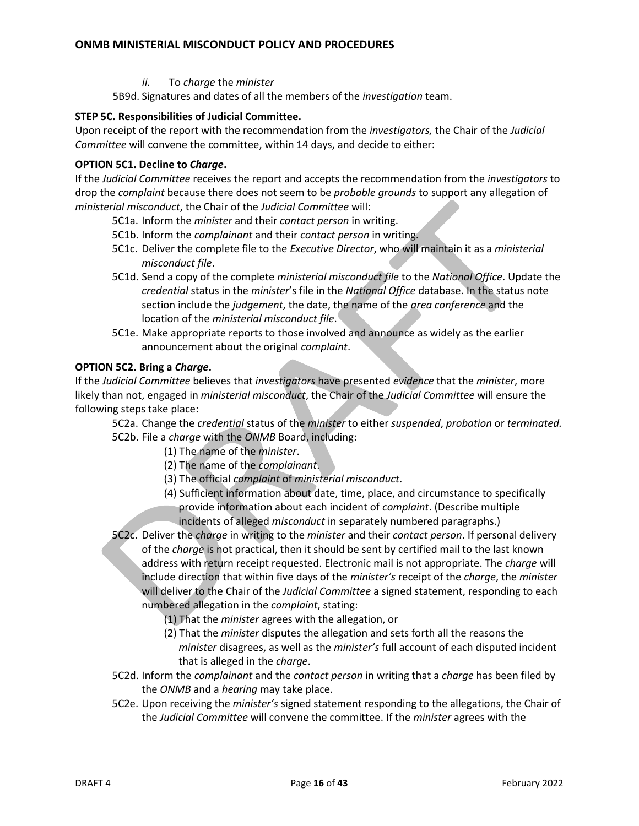*ii.* To *charge* the *minister*

5B9d. Signatures and dates of all the members of the *investigation* team.

### **STEP 5C. Responsibilities of Judicial Committee.**

Upon receipt of the report with the recommendation from the *investigators,* the Chair of the *Judicial Committee* will convene the committee, within 14 days, and decide to either:

### **OPTION 5C1. Decline to** *Charge***.**

If the *Judicial Committee* receives the report and accepts the recommendation from the *investigators* to drop the *complaint* because there does not seem to be *probable grounds* to support any allegation of *ministerial misconduct*, the Chair of the *Judicial Committee* will:

- 5C1a. Inform the *minister* and their *contact person* in writing.
- 5C1b. Inform the *complainant* and their *contact person* in writing.
- 5C1c. Deliver the complete file to the *Executive Director*, who will maintain it as a *ministerial misconduct file*.
- 5C1d. Send a copy of the complete *ministerial misconduct file* to the *National Office*. Update the *credential* status in the *minister*'s file in the *National Office* database. In the status note section include the *judgement*, the date, the name of the *area conference* and the location of the *ministerial misconduct file*.
- 5C1e. Make appropriate reports to those involved and announce as widely as the earlier announcement about the original *complaint*.

### **OPTION 5C2. Bring a** *Charge***.**

If the *Judicial Committee* believes that *investigators* have presented *evidence* that the *minister*, more likely than not, engaged in *ministerial misconduct*, the Chair of the *Judicial Committee* will ensure the following steps take place:

- 5C2a. Change the *credential* status of the *minister* to either *suspended*, *probation* or *terminated.* 5C2b. File a *charge* with the *ONMB* Board, including:
	- (1) The name of the *minister*.
	- (2) The name of the *complainant*.
	- (3) The official *complaint* of *ministerial misconduct*.
	- (4) Sufficient information about date, time, place, and circumstance to specifically provide information about each incident of *complaint*. (Describe multiple incidents of alleged *misconduct* in separately numbered paragraphs.)
- 5C2c. Deliver the *charge* in writing to the *minister* and their *contact person*. If personal delivery of the *charge* is not practical, then it should be sent by certified mail to the last known address with return receipt requested. Electronic mail is not appropriate. The *charge* will include direction that within five days of the *minister's* receipt of the *charge*, the *minister*  will deliver to the Chair of the *Judicial Committee* a signed statement, responding to each numbered allegation in the *complaint*, stating:
	- (1) That the *minister* agrees with the allegation, or
	- (2) That the *minister* disputes the allegation and sets forth all the reasons the *minister* disagrees, as well as the *minister's* full account of each disputed incident that is alleged in the *charge*.
- 5C2d. Inform the *complainant* and the *contact person* in writing that a *charge* has been filed by the *ONMB* and a *hearing* may take place.
- 5C2e. Upon receiving the *minister's* signed statement responding to the allegations, the Chair of the *Judicial Committee* will convene the committee. If the *minister* agrees with the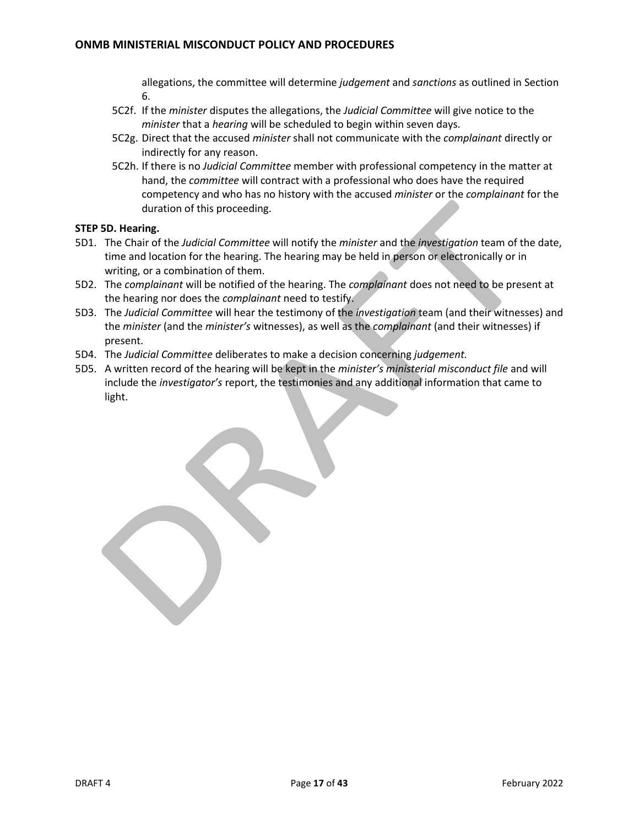allegations, the committee will determine *judgement* and *sanctions* as outlined in Section 6.

- 5C2f. If the *minister* disputes the allegations, the *Judicial Committee* will give notice to the *minister* that a *hearing* will be scheduled to begin within seven days.
- 5C2g. Direct that the accused *minister* shall not communicate with the *complainant* directly or indirectly for any reason.
- 5C2h. If there is no *Judicial Committee* member with professional competency in the matter at hand, the *committee* will contract with a professional who does have the required competency and who has no history with the accused *minister* or the *complainant* for the duration of this proceeding.

### **STEP 5D. Hearing.**

- 5D1. The Chair of the *Judicial Committee* will notify the *minister* and the *investigation* team of the date, time and location for the hearing. The hearing may be held in person or electronically or in writing, or a combination of them.
- 5D2. The *complainant* will be notified of the hearing. The *complainant* does not need to be present at the hearing nor does the *complainant* need to testify.
- 5D3. The *Judicial Committee* will hear the testimony of the *investigation* team (and their witnesses) and the *minister* (and the *minister's* witnesses), as well as the *complainant* (and their witnesses) if present.
- 5D4. The *Judicial Committee* deliberates to make a decision concerning *judgement.*
- 5D5. A written record of the hearing will be kept in the *minister's ministerial misconduct file* and will include the *investigator's* report, the testimonies and any additional information that came to light.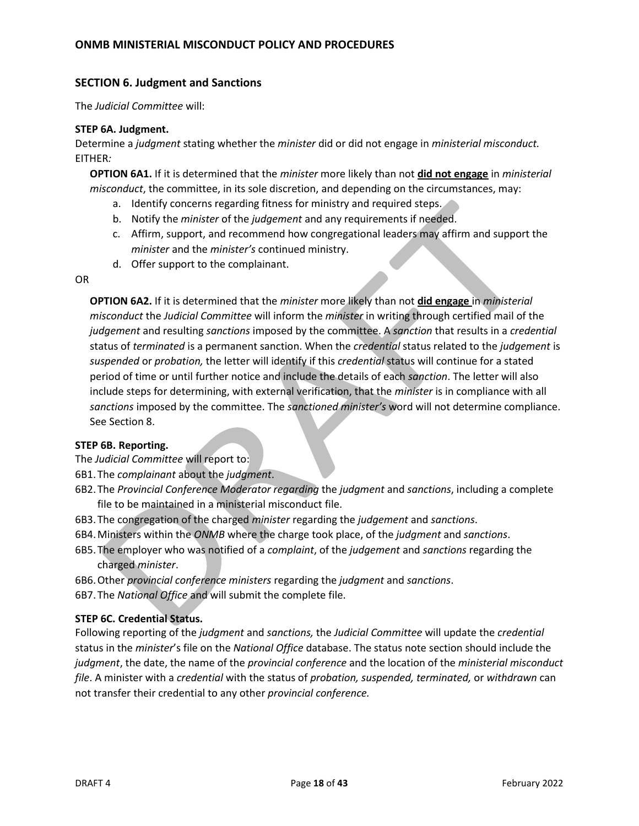### <span id="page-17-0"></span>**SECTION 6. Judgment and Sanctions**

The *Judicial Committee* will:

#### **STEP 6A. Judgment.**

Determine a *judgment* stating whether the *minister* did or did not engage in *ministerial misconduct.* EITHER*:*

**OPTION 6A1.** If it is determined that the *minister* more likely than not **did not engage** in *ministerial misconduct*, the committee, in its sole discretion, and depending on the circumstances, may:

- a. Identify concerns regarding fitness for ministry and required steps.
- b. Notify the *minister* of the *judgement* and any requirements if needed.
- c. Affirm, support, and recommend how congregational leaders may affirm and support the *minister* and the *minister's* continued ministry.
- d. Offer support to the complainant.

OR

**OPTION 6A2.** If it is determined that the *minister* more likely than not **did engage** in *ministerial misconduct* the *Judicial Committee* will inform the *minister* in writing through certified mail of the *judgement* and resulting *sanctions* imposed by the committee. A *sanction* that results in a *credential*  status of *terminated* is a permanent sanction. When the *credential* status related to the *judgement* is *suspended* or *probation,* the letter will identify if this *credential* status will continue for a stated period of time or until further notice and include the details of each *sanction*. The letter will also include steps for determining, with external verification, that the *minister* is in compliance with all *sanctions* imposed by the committee. The *sanctioned minister's* word will not determine compliance. See Section 8.

### **STEP 6B. Reporting.**

- The *Judicial Committee* will report to:
- 6B1.The *complainant* about the *judgment*.
- 6B2.The *Provincial Conference Moderator regarding* the *judgment* and *sanctions*, including a complete file to be maintained in a ministerial misconduct file.
- 6B3.The congregation of the charged *minister* regarding the *judgement* and *sanctions*.
- 6B4.Ministers within the *ONMB* where the charge took place, of the *judgment* and *sanctions*.
- 6B5.The employer who was notified of a *complaint*, of the *judgement* and *sanctions* regarding the charged *minister*.
- 6B6.Other *provincial conference ministers* regarding the *judgment* and *sanctions*.
- 6B7.The *National Office* and will submit the complete file.

### **STEP 6C. Credential Status.**

Following reporting of the *judgment* and *sanctions,* the *Judicial Committee* will update the *credential*  status in the *minister*'s file on the *National Office* database. The status note section should include the *judgment*, the date, the name of the *provincial conference* and the location of the *ministerial misconduct file*. A minister with a *credential* with the status of *probation, suspended, terminated,* or *withdrawn* can not transfer their credential to any other *provincial conference.*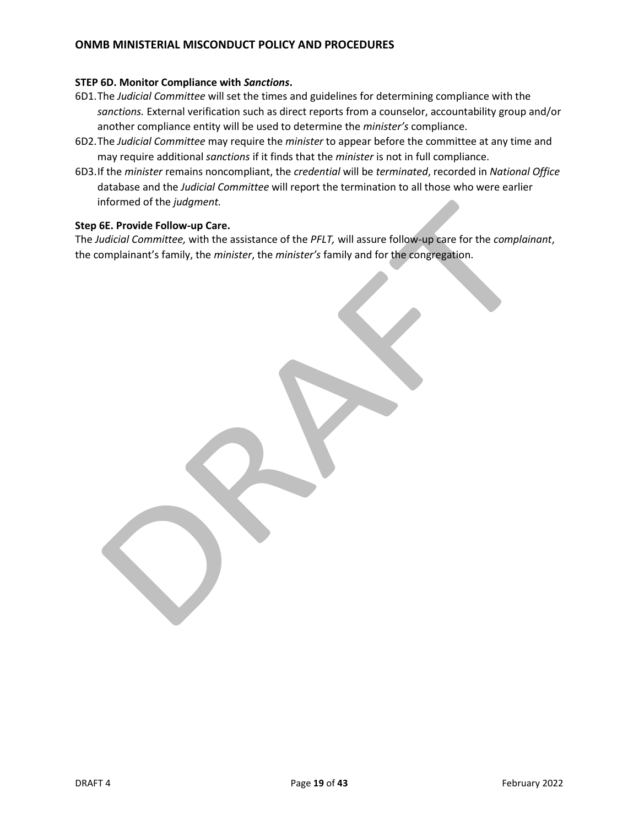### **STEP 6D. Monitor Compliance with** *Sanctions***.**

- 6D1.The *Judicial Committee* will set the times and guidelines for determining compliance with the *sanctions.* External verification such as direct reports from a counselor, accountability group and/or another compliance entity will be used to determine the *minister's* compliance.
- 6D2.The *Judicial Committee* may require the *minister* to appear before the committee at any time and may require additional *sanctions* if it finds that the *minister* is not in full compliance.
- 6D3.If the *minister* remains noncompliant, the *credential* will be *terminated*, recorded in *National Office* database and the *Judicial Committee* will report the termination to all those who were earlier informed of the *judgment.*

#### **Step 6E. Provide Follow-up Care.**

The *Judicial Committee,* with the assistance of the *PFLT,* will assure follow-up care for the *complainant*, the complainant's family, the *minister*, the *minister's* family and for the congregation.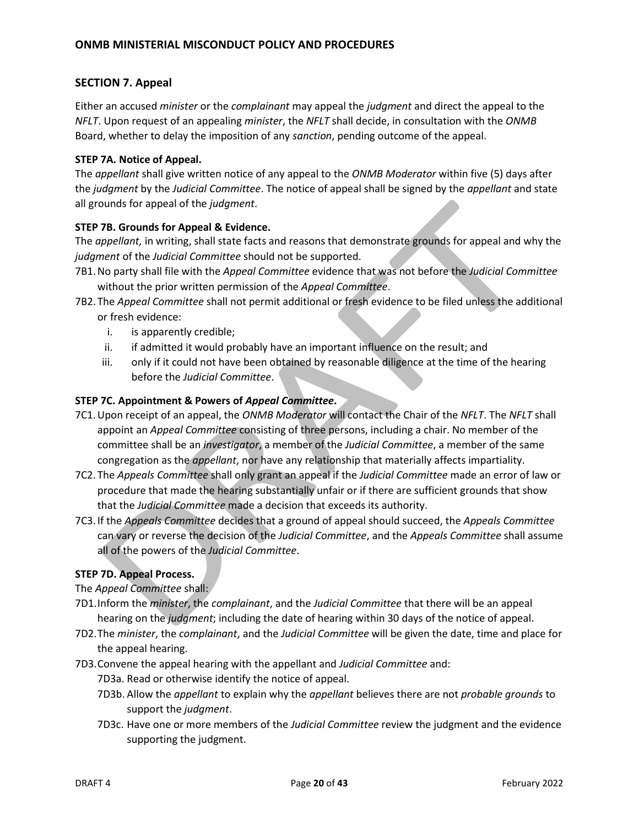# <span id="page-19-0"></span>**SECTION 7. Appeal**

Either an accused *minister* or the *complainant* may appeal the *judgment* and direct the appeal to the *NFLT*. Upon request of an appealing *minister*, the *NFLT* shall decide, in consultation with the *ONMB* Board, whether to delay the imposition of any *sanction*, pending outcome of the appeal.

### **STEP 7A. Notice of Appeal.**

The *appellant* shall give written notice of any appeal to the *ONMB Moderator* within five (5) days after the *judgment* by the *Judicial Committee*. The notice of appeal shall be signed by the *appellant* and state all grounds for appeal of the *judgment*.

## **STEP 7B. Grounds for Appeal & Evidence.**

The *appellant,* in writing, shall state facts and reasons that demonstrate grounds for appeal and why the *judgment* of the *Judicial Committee* should not be supported.

- 7B1.No party shall file with the *Appeal Committee* evidence that was not before the *Judicial Committee* without the prior written permission of the *Appeal Committee*.
- 7B2.The *Appeal Committee* shall not permit additional or fresh evidence to be filed unless the additional or fresh evidence:
	- i. is apparently credible;
	- ii. if admitted it would probably have an important influence on the result; and
	- iii. only if it could not have been obtained by reasonable diligence at the time of the hearing before the *Judicial Committee*.

### **STEP 7C. Appointment & Powers of** *Appeal Committee***.**

- 7C1.Upon receipt of an appeal, the *ONMB Moderator* will contact the Chair of the *NFLT*. The *NFLT* shall appoint an *Appeal Committee* consisting of three persons, including a chair. No member of the committee shall be an *investigator*, a member of the *Judicial Committee*, a member of the same congregation as the *appellant*, nor have any relationship that materially affects impartiality.
- 7C2. The *Appeals Committee* shall only grant an appeal if the *Judicial Committee* made an error of law or procedure that made the hearing substantially unfair or if there are sufficient grounds that show that the *Judicial Committee* made a decision that exceeds its authority.
- 7C3. If the *Appeals Committee* decides that a ground of appeal should succeed, the *Appeals Committee* can vary or reverse the decision of the *Judicial Committee*, and the *Appeals Committee* shall assume all of the powers of the *Judicial Committee*.

## **STEP 7D. Appeal Process.**

The *Appeal Committee* shall:

- 7D1.Inform the *minister*, the *complainant*, and the *Judicial Committee* that there will be an appeal hearing on the *judgment*; including the date of hearing within 30 days of the notice of appeal.
- 7D2.The *minister*, the *complainant*, and the *Judicial Committee* will be given the date, time and place for the appeal hearing.
- 7D3.Convene the appeal hearing with the appellant and *Judicial Committee* and:
	- 7D3a. Read or otherwise identify the notice of appeal.
	- 7D3b. Allow the *appellant* to explain why the *appellant* believes there are not *probable grounds* to support the *judgment*.
	- 7D3c. Have one or more members of the *Judicial Committee* review the judgment and the evidence supporting the judgment.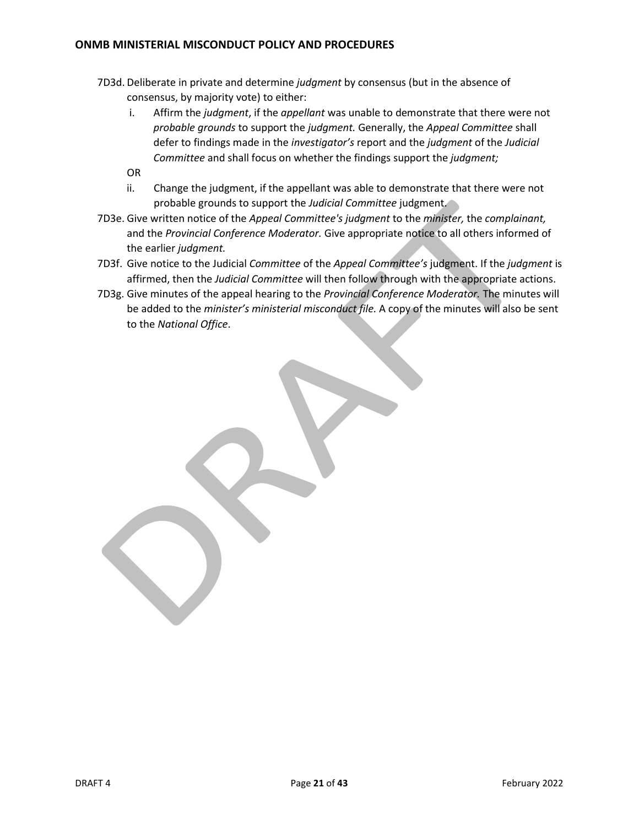- 7D3d. Deliberate in private and determine *judgment* by consensus (but in the absence of consensus, by majority vote) to either:
	- i. Affirm the *judgment*, if the *appellant* was unable to demonstrate that there were not *probable grounds* to support the *judgment.* Generally, the *Appeal Committee* shall defer to findings made in the *investigator's* report and the *judgment* of the *Judicial Committee* and shall focus on whether the findings support the *judgment;*
	- OR
	- ii. Change the judgment, if the appellant was able to demonstrate that there were not probable grounds to support the *Judicial Committee* judgment.
- 7D3e. Give written notice of the *Appeal Committee's judgment* to the *minister,* the *complainant,*  and the *Provincial Conference Moderator.* Give appropriate notice to all others informed of the earlier *judgment.*
- 7D3f. Give notice to the Judicial *Committee* of the *Appeal Committee's* judgment. If the *judgment* is affirmed, then the *Judicial Committee* will then follow through with the appropriate actions.
- 7D3g. Give minutes of the appeal hearing to the *Provincial Conference Moderator.* The minutes will be added to the *minister's ministerial misconduct file.* A copy of the minutes will also be sent to the *National Office*.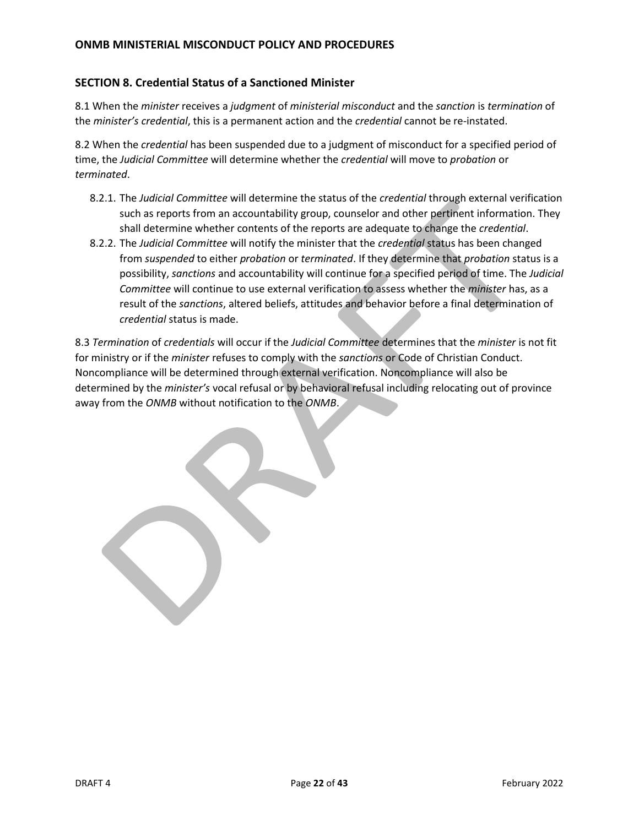### <span id="page-21-0"></span>**SECTION 8. Credential Status of a Sanctioned Minister**

8.1 When the *minister* receives a *judgment* of *ministerial misconduct* and the *sanction* is *termination* of the *minister's credential*, this is a permanent action and the *credential* cannot be re-instated.

8.2 When the *credential* has been suspended due to a judgment of misconduct for a specified period of time, the *Judicial Committee* will determine whether the *credential* will move to *probation* or *terminated*.

- 8.2.1. The *Judicial Committee* will determine the status of the *credential* through external verification such as reports from an accountability group, counselor and other pertinent information. They shall determine whether contents of the reports are adequate to change the *credential*.
- 8.2.2. The *Judicial Committee* will notify the minister that the *credential* status has been changed from *suspended* to either *probation* or *terminated*. If they determine that *probation* status is a possibility, *sanctions* and accountability will continue for a specified period of time. The *Judicial Committee* will continue to use external verification to assess whether the *minister* has, as a result of the *sanctions*, altered beliefs, attitudes and behavior before a final determination of *credential* status is made.

8.3 *Termination* of *credentials* will occur if the *Judicial Committee* determines that the *minister* is not fit for ministry or if the *minister* refuses to comply with the *sanctions* or Code of Christian Conduct. Noncompliance will be determined through external verification. Noncompliance will also be determined by the *minister's* vocal refusal or by behavioral refusal including relocating out of province away from the *ONMB* without notification to the *ONMB*.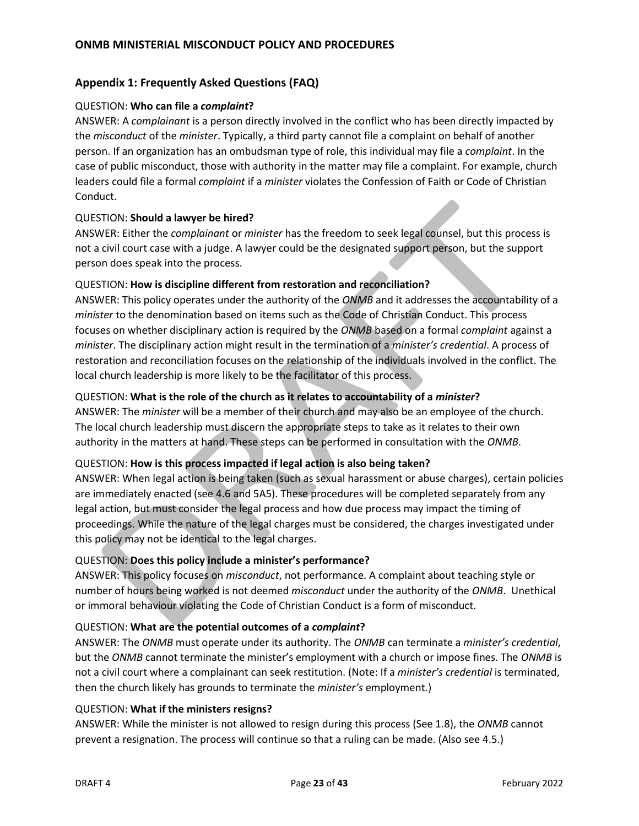## <span id="page-22-0"></span>**Appendix 1: Frequently Asked Questions (FAQ)**

### QUESTION: **Who can file a** *complaint***?**

ANSWER: A *complainant* is a person directly involved in the conflict who has been directly impacted by the *misconduct* of the *minister*. Typically, a third party cannot file a complaint on behalf of another person. If an organization has an ombudsman type of role, this individual may file a *complaint*. In the case of public misconduct, those with authority in the matter may file a complaint. For example, church leaders could file a formal *complaint* if a *minister* violates the Confession of Faith or Code of Christian Conduct.

### QUESTION: **Should a lawyer be hired?**

ANSWER: Either the *complainant* or *minister* has the freedom to seek legal counsel, but this process is not a civil court case with a judge. A lawyer could be the designated support person, but the support person does speak into the process.

### QUESTION: **How is discipline different from restoration and reconciliation?**

ANSWER: This policy operates under the authority of the *ONMB* and it addresses the accountability of a *minister* to the denomination based on items such as the Code of Christian Conduct. This process focuses on whether disciplinary action is required by the *ONMB* based on a formal *complaint* against a *minister*. The disciplinary action might result in the termination of a *minister's credential*. A process of restoration and reconciliation focuses on the relationship of the individuals involved in the conflict. The local church leadership is more likely to be the facilitator of this process.

### QUESTION: **What is the role of the church as it relates to accountability of a** *minister***?**

ANSWER: The *minister* will be a member of their church and may also be an employee of the church. The local church leadership must discern the appropriate steps to take as it relates to their own authority in the matters at hand. These steps can be performed in consultation with the *ONMB*.

### QUESTION: **How is this process impacted if legal action is also being taken?**

ANSWER: When legal action is being taken (such as sexual harassment or abuse charges), certain policies are immediately enacted (see 4.6 and 5A5). These procedures will be completed separately from any legal action, but must consider the legal process and how due process may impact the timing of proceedings. While the nature of the legal charges must be considered, the charges investigated under this policy may not be identical to the legal charges.

### QUESTION: **Does this policy include a minister's performance?**

ANSWER: This policy focuses on *misconduct*, not performance. A complaint about teaching style or number of hours being worked is not deemed *misconduct* under the authority of the *ONMB*. Unethical or immoral behaviour violating the Code of Christian Conduct is a form of misconduct.

#### QUESTION: **What are the potential outcomes of a** *complaint***?**

ANSWER: The *ONMB* must operate under its authority. The *ONMB* can terminate a *minister's credential*, but the *ONMB* cannot terminate the minister's employment with a church or impose fines. The *ONMB* is not a civil court where a complainant can seek restitution. (Note: If a *minister's credential* is terminated, then the church likely has grounds to terminate the *minister's* employment.)

#### QUESTION: **What if the ministers resigns?**

ANSWER: While the minister is not allowed to resign during this process (See 1.8), the *ONMB* cannot prevent a resignation. The process will continue so that a ruling can be made. (Also see 4.5.)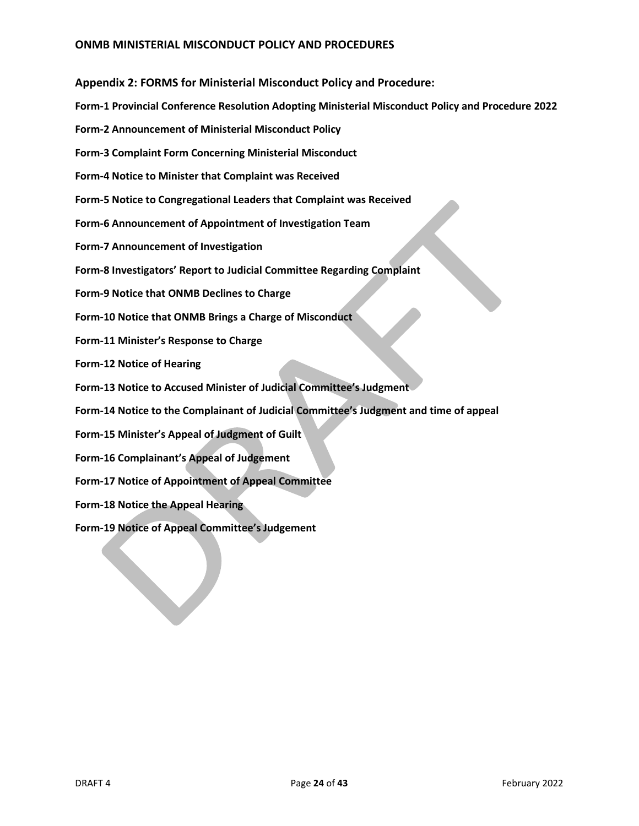<span id="page-23-0"></span>**Appendix 2: FORMS for Ministerial Misconduct Policy and Procedure:**

- **Form-1 Provincial Conference Resolution Adopting Ministerial Misconduct Policy and Procedure 2022**
- **Form-2 Announcement of Ministerial Misconduct Policy**
- **Form-3 Complaint Form Concerning Ministerial Misconduct**
- **Form-4 Notice to Minister that Complaint was Received**
- **Form-5 Notice to Congregational Leaders that Complaint was Received**
- **Form-6 Announcement of Appointment of Investigation Team**
- **Form-7 Announcement of Investigation**
- **Form-8 Investigators' Report to Judicial Committee Regarding Complaint**
- **Form-9 Notice that ONMB Declines to Charge**
- **Form-10 Notice that ONMB Brings a Charge of Misconduct**
- **Form-11 Minister's Response to Charge**
- **Form-12 Notice of Hearing**
- **Form-13 Notice to Accused Minister of Judicial Committee's Judgment**
- **Form-14 Notice to the Complainant of Judicial Committee's Judgment and time of appeal**
- **Form-15 Minister's Appeal of Judgment of Guilt**
- **Form-16 Complainant's Appeal of Judgement**
- **Form-17 Notice of Appointment of Appeal Committee**
- **Form-18 Notice the Appeal Hearing**
- **Form-19 Notice of Appeal Committee's Judgement**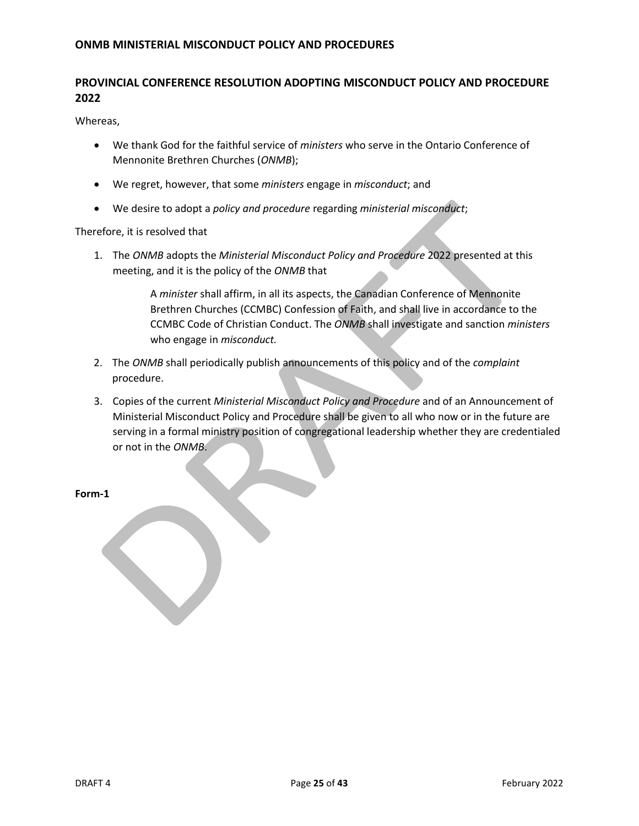# **PROVINCIAL CONFERENCE RESOLUTION ADOPTING MISCONDUCT POLICY AND PROCEDURE 2022**

Whereas,

- We thank God for the faithful service of *ministers* who serve in the Ontario Conference of Mennonite Brethren Churches (*ONMB*);
- We regret, however, that some *ministers* engage in *misconduct*; and
- We desire to adopt a *policy and procedure* regarding *ministerial misconduct*;

Therefore, it is resolved that

1. The *ONMB* adopts the *Ministerial Misconduct Policy and Procedure* 2022 presented at this meeting, and it is the policy of the *ONMB* that

> A *minister* shall affirm, in all its aspects, the Canadian Conference of Mennonite Brethren Churches (CCMBC) Confession of Faith, and shall live in accordance to the CCMBC Code of Christian Conduct. The *ONMB* shall investigate and sanction *ministers*  who engage in *misconduct.*

- 2. The *ONMB* shall periodically publish announcements of this policy and of the *complaint*  procedure.
- 3. Copies of the current *Ministerial Misconduct Policy and Procedure* and of an Announcement of Ministerial Misconduct Policy and Procedure shall be given to all who now or in the future are serving in a formal ministry position of congregational leadership whether they are credentialed or not in the *ONMB*.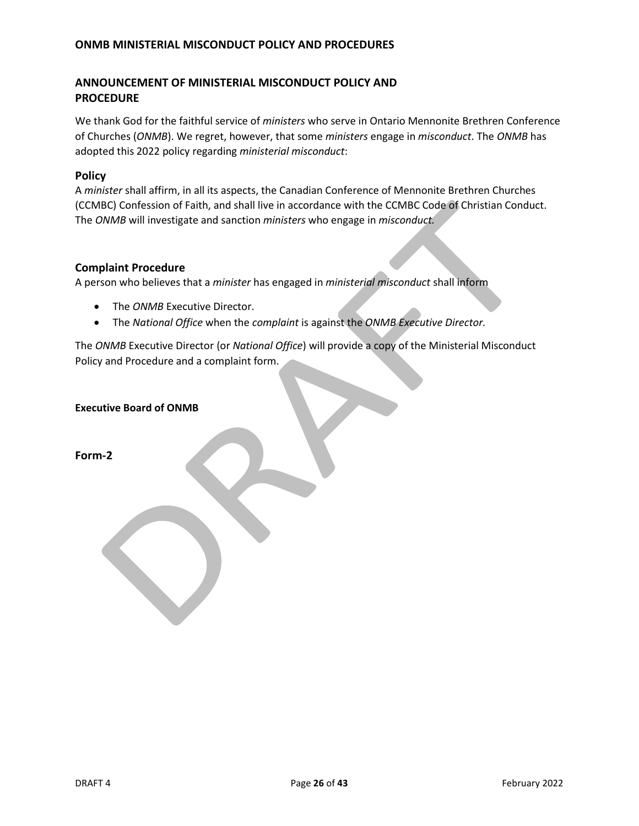# **ANNOUNCEMENT OF MINISTERIAL MISCONDUCT POLICY AND PROCEDURE**

We thank God for the faithful service of *ministers* who serve in Ontario Mennonite Brethren Conference of Churches (*ONMB*). We regret, however, that some *ministers* engage in *misconduct*. The *ONMB* has adopted this 2022 policy regarding *ministerial misconduct*:

#### **Policy**

A *minister* shall affirm, in all its aspects, the Canadian Conference of Mennonite Brethren Churches (CCMBC) Confession of Faith, and shall live in accordance with the CCMBC Code of Christian Conduct. The *ONMB* will investigate and sanction *ministers* who engage in *misconduct.* 

### **Complaint Procedure**

A person who believes that a *minister* has engaged in *ministerial misconduct* shall inform

- The *ONMB* Executive Director.
- The *National Office* when the *complaint* is against the *ONMB Executive Director.*

The *ONMB* Executive Director (or *National Office*) will provide a copy of the Ministerial Misconduct Policy and Procedure and a complaint form.

**Executive Board of ONMB**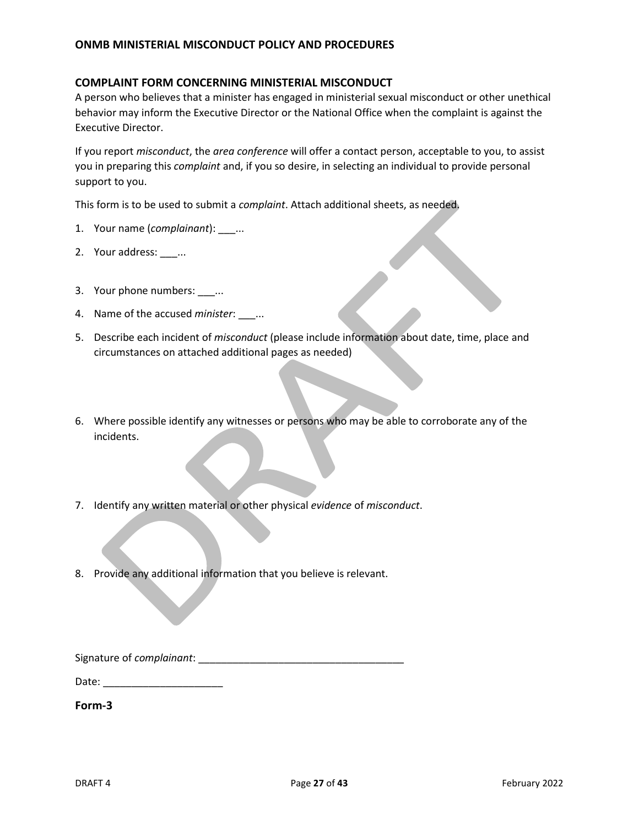### **COMPLAINT FORM CONCERNING MINISTERIAL MISCONDUCT**

A person who believes that a minister has engaged in ministerial sexual misconduct or other unethical behavior may inform the Executive Director or the National Office when the complaint is against the Executive Director.

If you report *misconduct*, the *area conference* will offer a contact person, acceptable to you, to assist you in preparing this *complaint* and, if you so desire, in selecting an individual to provide personal support to you.

This form is to be used to submit a *complaint*. Attach additional sheets, as needed.

- 1. Your name (*complainant*): \_\_\_...
- 2. Your address: \_\_\_...
- 3. Your phone numbers: \_\_\_...
- 4. Name of the accused *minister*: \_\_\_...
- 5. Describe each incident of *misconduct* (please include information about date, time, place and circumstances on attached additional pages as needed)
- 6. Where possible identify any witnesses or persons who may be able to corroborate any of the incidents.
- 7. Identify any written material or other physical *evidence* of *misconduct*.
- 8. Provide any additional information that you believe is relevant.

Signature of *complainant*: \_\_\_\_\_\_\_\_\_\_\_\_\_\_\_\_\_\_\_\_\_\_\_\_\_\_\_\_\_\_\_\_\_\_\_\_

Date: \_\_\_\_\_\_\_\_\_\_\_\_\_\_\_\_\_\_\_\_\_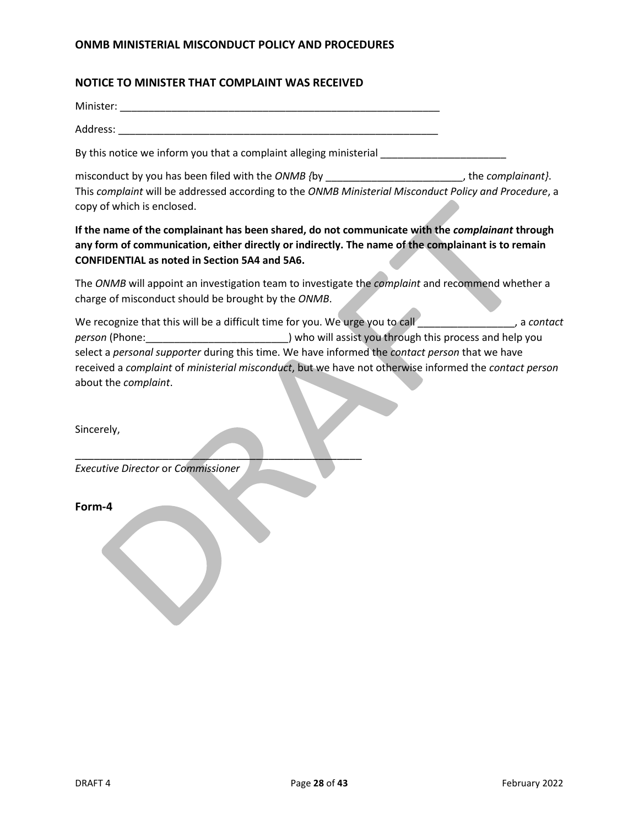### **NOTICE TO MINISTER THAT COMPLAINT WAS RECEIVED**

Minister: \_\_\_\_\_\_\_\_\_\_\_\_\_\_\_\_\_\_\_\_\_\_\_\_\_\_\_\_\_\_\_\_\_\_\_\_\_\_\_\_\_\_\_\_\_\_\_\_\_\_\_\_\_\_\_\_

Address: \_\_\_\_\_\_\_\_\_\_\_\_\_\_\_\_\_\_\_\_\_\_\_\_\_\_\_\_\_\_\_\_\_\_\_\_\_\_\_\_\_\_\_\_\_\_\_\_\_\_\_\_\_\_\_\_

By this notice we inform you that a complaint alleging ministerial

misconduct by you has been filed with the *ONMB {*by \_\_\_\_\_\_\_\_\_\_\_\_\_\_\_\_\_\_\_\_\_\_\_\_, the *complainant}*. This *complaint* will be addressed according to the *ONMB Ministerial Misconduct Policy and Procedure*, a copy of which is enclosed.

**If the name of the complainant has been shared, do not communicate with the** *complainant* **through any form of communication, either directly or indirectly. The name of the complainant is to remain CONFIDENTIAL as noted in Section 5A4 and 5A6.**

The *ONMB* will appoint an investigation team to investigate the *complaint* and recommend whether a charge of misconduct should be brought by the *ONMB*.

We recognize that this will be a difficult time for you. We urge you to call **we recognize** that this will be a difficult time for you. We urge you to call *person* (Phone: <u>comes and help you</u> ) who will assist you through this process and help you select a *personal supporter* during this time. We have informed the *contact person* that we have received a *complaint* of *ministerial misconduct*, but we have not otherwise informed the *contact person*  about the *complaint*.

Sincerely,

*Executive Director* or *Commissioner*

 $\overline{\phantom{a}}$  ,  $\overline{\phantom{a}}$  ,  $\overline{\phantom{a}}$  ,  $\overline{\phantom{a}}$  ,  $\overline{\phantom{a}}$  ,  $\overline{\phantom{a}}$  ,  $\overline{\phantom{a}}$  ,  $\overline{\phantom{a}}$  ,  $\overline{\phantom{a}}$  ,  $\overline{\phantom{a}}$  ,  $\overline{\phantom{a}}$  ,  $\overline{\phantom{a}}$  ,  $\overline{\phantom{a}}$  ,  $\overline{\phantom{a}}$  ,  $\overline{\phantom{a}}$  ,  $\overline{\phantom{a}}$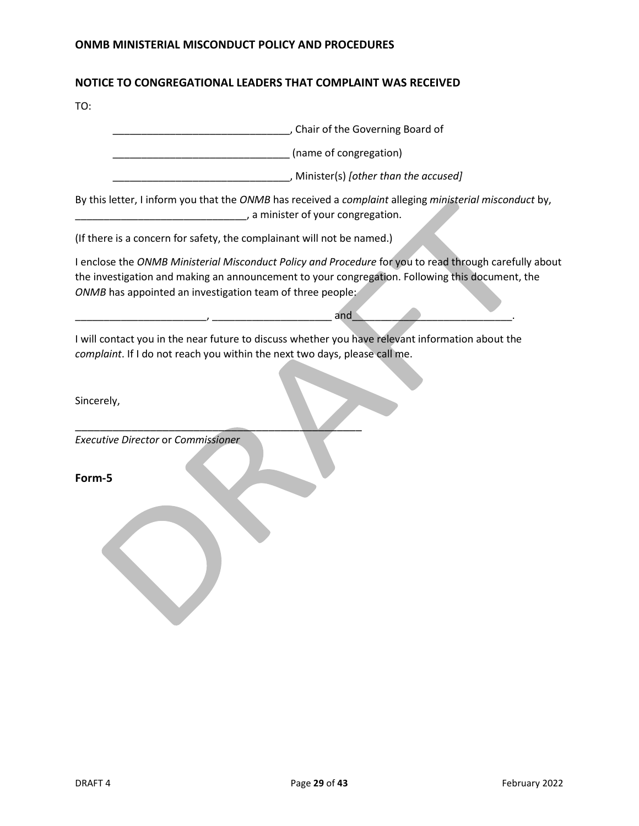# **NOTICE TO CONGREGATIONAL LEADERS THAT COMPLAINT WAS RECEIVED**

TO:

| Chair of the Governing Board of                                                                                                                                                                           |
|-----------------------------------------------------------------------------------------------------------------------------------------------------------------------------------------------------------|
|                                                                                                                                                                                                           |
| , Minister(s) [other than the accused]                                                                                                                                                                    |
| By this letter, I inform you that the ONMB has received a complaint alleging ministerial misconduct by,                                                                                                   |
|                                                                                                                                                                                                           |
| I enclose the ONMB Ministerial Misconduct Policy and Procedure for you to read through carefully about<br>the investigation and making an announcement to your congregation. Following this document, the |
| I will contact you in the near future to discuss whether you have relevant information about the                                                                                                          |
|                                                                                                                                                                                                           |
|                                                                                                                                                                                                           |
| complaint. If I do not reach you within the next two days, please call me.                                                                                                                                |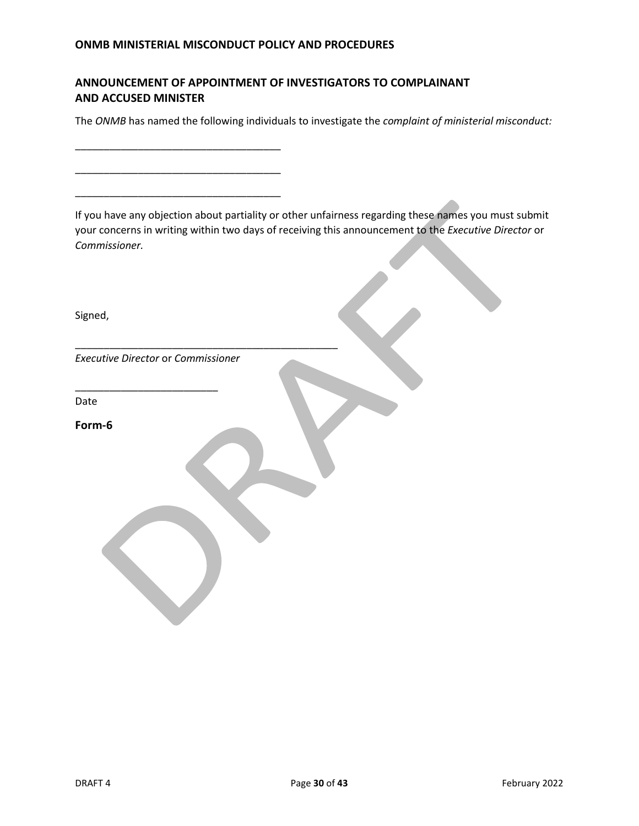\_\_\_\_\_\_\_\_\_\_\_\_\_\_\_\_\_\_\_\_\_\_\_\_\_\_\_\_\_\_\_\_\_\_\_\_

\_\_\_\_\_\_\_\_\_\_\_\_\_\_\_\_\_\_\_\_\_\_\_\_\_\_\_\_\_\_\_\_\_\_\_\_

\_\_\_\_\_\_\_\_\_\_\_\_\_\_\_\_\_\_\_\_\_\_\_\_\_\_\_\_\_\_\_\_\_\_\_\_

# **ANNOUNCEMENT OF APPOINTMENT OF INVESTIGATORS TO COMPLAINANT AND ACCUSED MINISTER**

The *ONMB* has named the following individuals to investigate the *complaint of ministerial misconduct:*

If you have any objection about partiality or other unfairness regarding these names you must submit your concerns in writing within two days of receiving this announcement to the *Executive Director* or *Commissioner.*

| Signed,                                   |  |
|-------------------------------------------|--|
| <b>Executive Director or Commissioner</b> |  |
| Date                                      |  |
| Form-6                                    |  |
|                                           |  |
|                                           |  |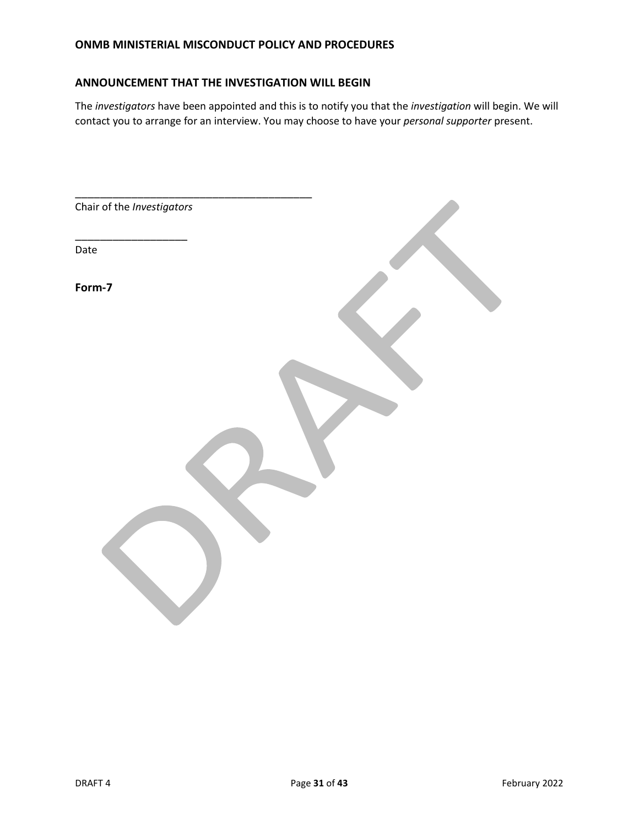### **ANNOUNCEMENT THAT THE INVESTIGATION WILL BEGIN**

The *investigators* have been appointed and this is to notify you that the *investigation* will begin. We will contact you to arrange for an interview. You may choose to have your *personal supporter* present.

| Chair of the Investigators |  |
|----------------------------|--|
| Date                       |  |
| Form-7                     |  |
|                            |  |
|                            |  |
|                            |  |
|                            |  |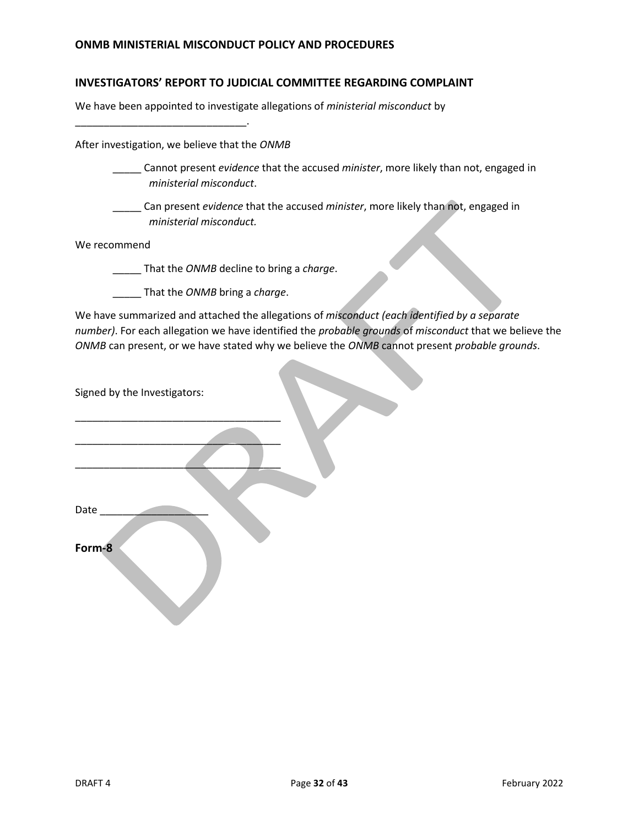### **INVESTIGATORS' REPORT TO JUDICIAL COMMITTEE REGARDING COMPLAINT**

We have been appointed to investigate allegations of *ministerial misconduct* by

\_\_\_\_\_\_\_\_\_\_\_\_\_\_\_\_\_\_\_\_\_\_\_\_\_\_\_\_\_\_.

After investigation, we believe that the *ONMB*

- \_\_\_\_\_ Cannot present *evidence* that the accused *minister*, more likely than not, engaged in *ministerial misconduct*.
- \_\_\_\_\_ Can present *evidence* that the accused *minister*, more likely than not, engaged in *ministerial misconduct.*

We recommend

\_\_\_\_\_ That the *ONMB* decline to bring a *charge*.

\_\_\_\_\_ That the *ONMB* bring a *charge*.

We have summarized and attached the allegations of *misconduct (each identified by a separate number)*. For each allegation we have identified the *probable grounds* of *misconduct* that we believe the *ONMB* can present, or we have stated why we believe the *ONMB* cannot present *probable grounds*.

Signed by the Investigators:

\_\_\_\_\_\_\_\_\_\_\_\_\_\_\_\_\_\_\_\_\_\_\_\_\_\_\_\_\_\_\_\_\_\_\_\_

 $\overline{\phantom{a}}$  , we can assume that the contract of the contract of  $\overline{\phantom{a}}$ 

\_\_\_\_\_\_\_\_\_\_\_\_\_\_\_\_\_\_\_\_\_\_\_\_\_\_\_\_\_\_\_\_\_\_\_\_

Date \_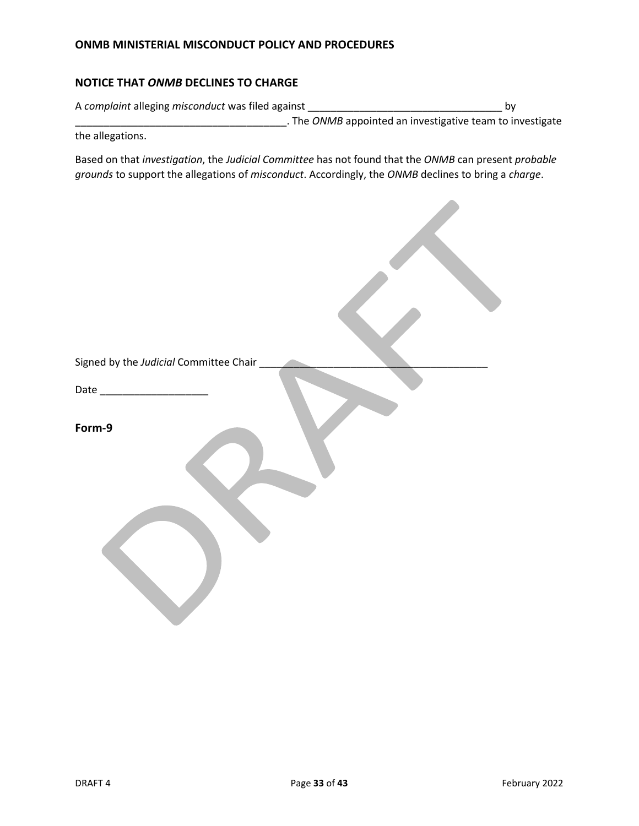# **NOTICE THAT** *ONMB* **DECLINES TO CHARGE**

| A complaint alleging misconduct was filed against |                                                                  | b٧ |
|---------------------------------------------------|------------------------------------------------------------------|----|
|                                                   | . The <i>ONMB</i> appointed an investigative team to investigate |    |
| the allegations.                                  |                                                                  |    |

Based on that *investigation*, the *Judicial Committee* has not found that the *ONMB* can present *probable grounds* to support the allegations of *misconduct*. Accordingly, the *ONMB* declines to bring a *charge*.

 $\mathcal{L}$ 

| Signed by the Judicial Committee Chair |
|----------------------------------------|
|                                        |
|                                        |
| Form-9                                 |
|                                        |
|                                        |
|                                        |
|                                        |
|                                        |
|                                        |
|                                        |
|                                        |
|                                        |
|                                        |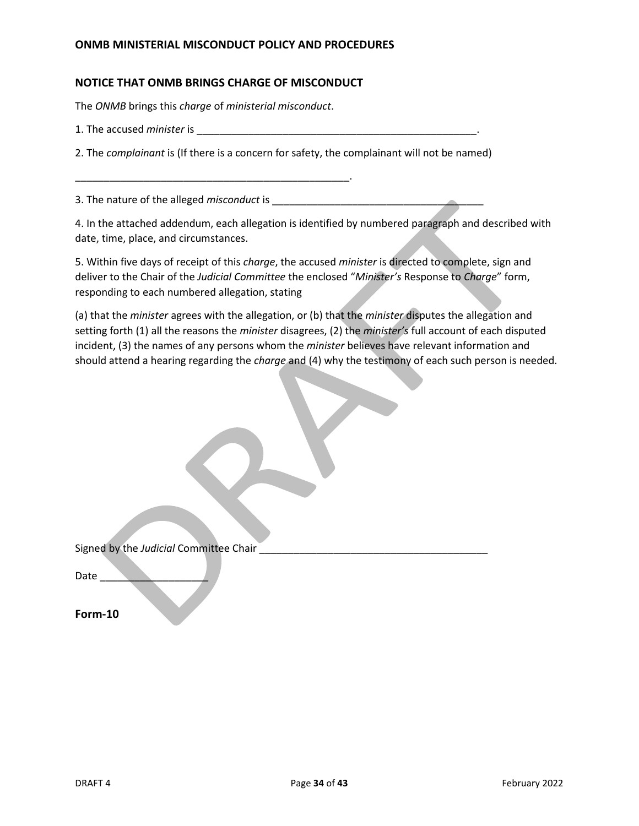### **NOTICE THAT ONMB BRINGS CHARGE OF MISCONDUCT**

The *ONMB* brings this *charge* of *ministerial misconduct*.

\_\_\_\_\_\_\_\_\_\_\_\_\_\_\_\_\_\_\_\_\_\_\_\_\_\_\_\_\_\_\_\_\_\_\_\_\_\_\_\_\_\_\_\_\_\_\_\_.

1. The accused *minister* is \_\_\_\_\_\_\_\_\_\_\_\_\_\_\_\_\_\_\_\_\_\_\_\_\_\_\_\_\_\_\_\_\_\_\_\_\_\_\_\_\_\_\_\_\_\_\_\_\_.

2. The *complainant* is (If there is a concern for safety, the complainant will not be named)

3. The nature of the alleged *misconduct* is \_\_\_\_\_\_\_\_\_\_\_\_\_\_\_\_\_\_\_\_\_\_\_\_\_\_\_\_\_\_\_\_\_\_\_\_\_

4. In the attached addendum, each allegation is identified by numbered paragraph and described with date, time, place, and circumstances.

5. Within five days of receipt of this *charge*, the accused *minister* is directed to complete, sign and deliver to the Chair of the *Judicial Committee* the enclosed "*Minister's* Response to *Charge*" form, responding to each numbered allegation, stating

(a) that the *minister* agrees with the allegation, or (b) that the *minister* disputes the allegation and setting forth (1) all the reasons the *minister* disagrees, (2) the *minister's* full account of each disputed incident, (3) the names of any persons whom the *minister* believes have relevant information and should attend a hearing regarding the *charge* and (4) why the testimony of each such person is needed.

| Signed by the Judicial Committee Chair |  |
|----------------------------------------|--|
|                                        |  |
|                                        |  |

Date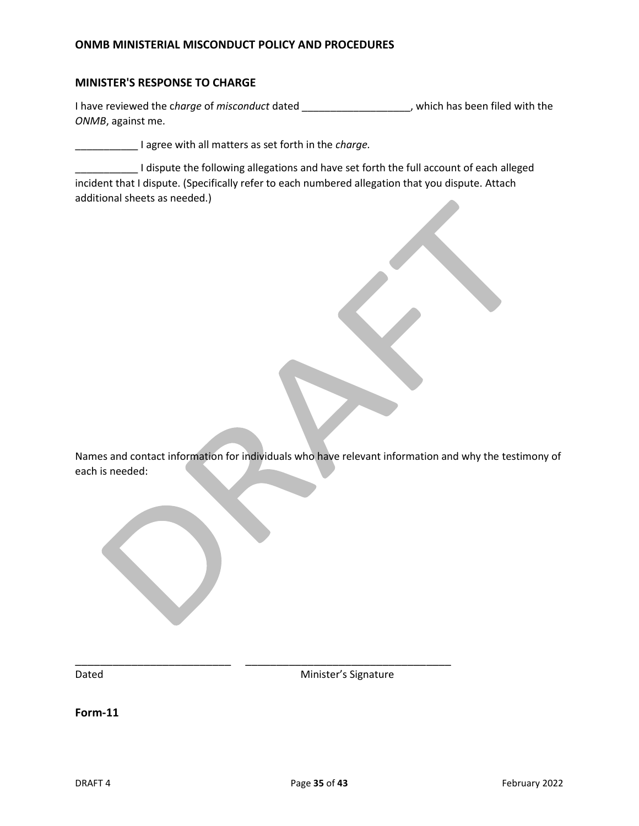### **MINISTER'S RESPONSE TO CHARGE**

I have reviewed the c*harge* of *misconduct* dated \_\_\_\_\_\_\_\_\_\_\_\_\_\_\_\_\_\_\_, which has been filed with the *ONMB*, against me.

\_\_\_\_\_\_\_\_\_\_\_ I agree with all matters as set forth in the *charge.*

I dispute the following allegations and have set forth the full account of each alleged incident that I dispute. (Specifically refer to each numbered allegation that you dispute. Attach additional sheets as needed.)

Names and contact information for individuals who have relevant information and why the testimony of each is needed:

Dated **Dated Minister's Signature** 

**Form-11**

\_\_\_\_\_\_\_\_\_\_\_\_\_\_\_\_\_\_\_\_\_\_\_\_\_ \_\_\_\_\_\_\_\_\_\_\_\_\_\_\_\_\_\_\_\_\_\_\_\_\_\_\_\_\_\_\_\_\_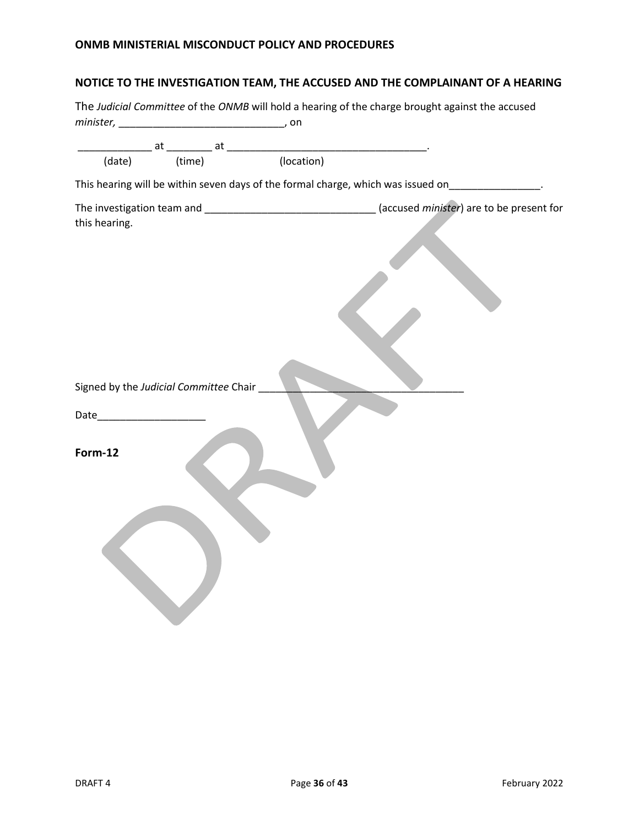# **NOTICE TO THE INVESTIGATION TEAM, THE ACCUSED AND THE COMPLAINANT OF A HEARING**

|                                                                                                                                                                                                                               |                                        | The Judicial Committee of the ONMB will hold a hearing of the charge brought against the accused     |
|-------------------------------------------------------------------------------------------------------------------------------------------------------------------------------------------------------------------------------|----------------------------------------|------------------------------------------------------------------------------------------------------|
|                                                                                                                                                                                                                               |                                        |                                                                                                      |
| (date)                                                                                                                                                                                                                        |                                        | at a at a set of time) at a set of time (location) and the set of time) and $\frac{1}{2}$ (location) |
|                                                                                                                                                                                                                               |                                        | This hearing will be within seven days of the formal charge, which was issued on________________.    |
| this hearing.                                                                                                                                                                                                                 |                                        |                                                                                                      |
| Date and the same state of the state of the state of the state of the state of the state of the state of the state of the state of the state of the state of the state of the state of the state of the state of the state of | Signed by the Judicial Committee Chair |                                                                                                      |
| Form-12                                                                                                                                                                                                                       |                                        |                                                                                                      |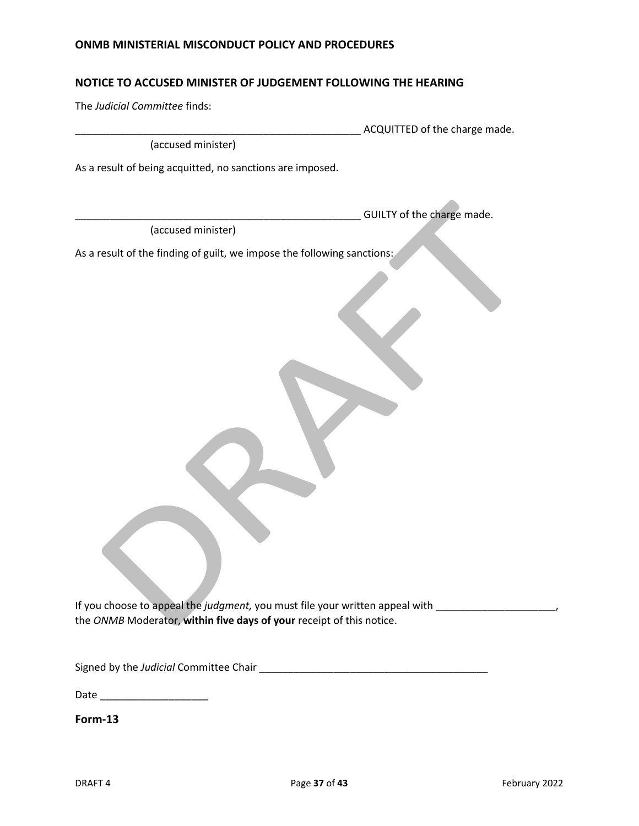### **NOTICE TO ACCUSED MINISTER OF JUDGEMENT FOLLOWING THE HEARING**

The *Judicial Committee* finds:

\_\_\_\_\_\_\_\_\_\_\_\_\_\_\_\_\_\_\_\_\_\_\_\_\_\_\_\_\_\_\_\_\_\_\_\_\_\_\_\_\_\_\_\_\_\_\_\_\_\_ ACQUITTED of the charge made.

GUILTY of the charge made.

(accused minister)

As a result of being acquitted, no sanctions are imposed.

(accused minister)

As a result of the finding of guilt, we impose the following sanctions:

If you choose to appeal the *judgment,* you must file your written appeal with \_\_\_\_\_\_\_\_\_\_\_\_\_\_\_\_\_\_\_\_\_, the *ONMB* Moderator, **within five days of your** receipt of this notice.

Signed by the *Judicial* Committee Chair **Exercise 2018** 

Date  $\Box$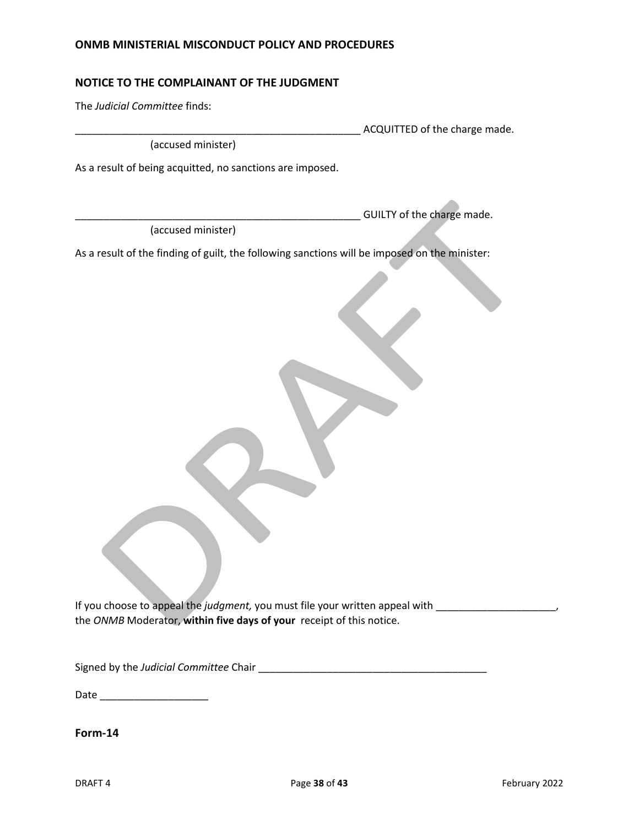### **NOTICE TO THE COMPLAINANT OF THE JUDGMENT**

The *Judicial Committee* finds:

\_\_\_\_\_\_\_\_\_\_\_\_\_\_\_\_\_\_\_\_\_\_\_\_\_\_\_\_\_\_\_\_\_\_\_\_\_\_\_\_\_\_\_\_\_\_\_\_\_\_ ACQUITTED of the charge made.

GUILTY of the charge made.

(accused minister)

As a result of being acquitted, no sanctions are imposed.

(accused minister)

As a result of the finding of guilt, the following sanctions will be imposed on the minister:

If you choose to appeal the *judgment*, you must file your written appeal with \_\_\_\_\_\_\_\_\_\_\_\_\_\_\_\_\_\_\_\_\_, the *ONMB* Moderator, **within five days of your** receipt of this notice.

Signed by the *Judicial Committee* Chair \_\_\_\_\_\_\_\_\_\_\_\_\_\_\_\_\_\_\_\_\_\_\_\_\_\_\_\_\_\_\_\_\_\_\_\_\_\_\_\_

Date \_\_\_\_\_\_\_\_\_\_\_\_\_\_\_\_\_\_\_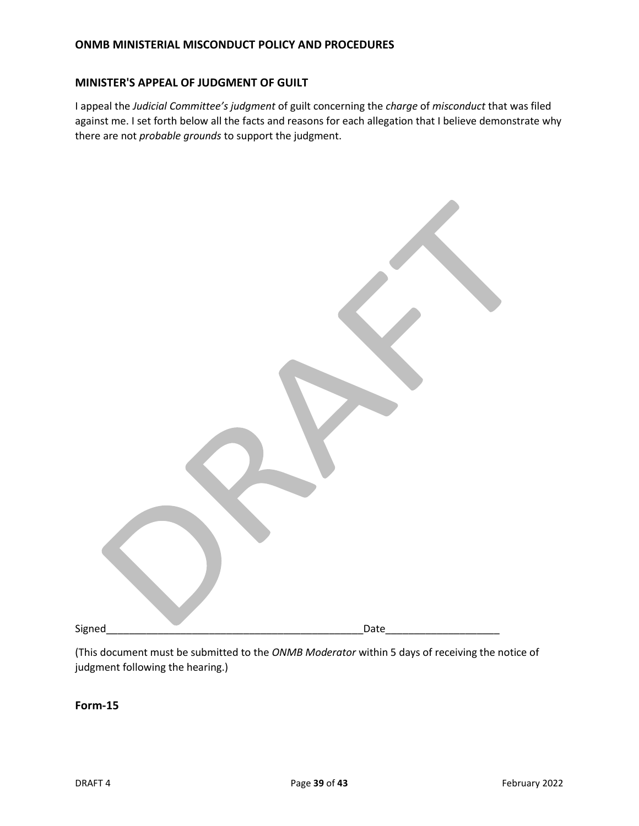### **MINISTER'S APPEAL OF JUDGMENT OF GUILT**

I appeal the *Judicial Committee's judgment* of guilt concerning the *charge* of *misconduct* that was filed against me. I set forth below all the facts and reasons for each allegation that I believe demonstrate why there are not *probable grounds* to support the judgment.

| Signed <sub>.</sub> | Date |
|---------------------|------|

(This document must be submitted to the *ONMB Moderator* within 5 days of receiving the notice of judgment following the hearing.)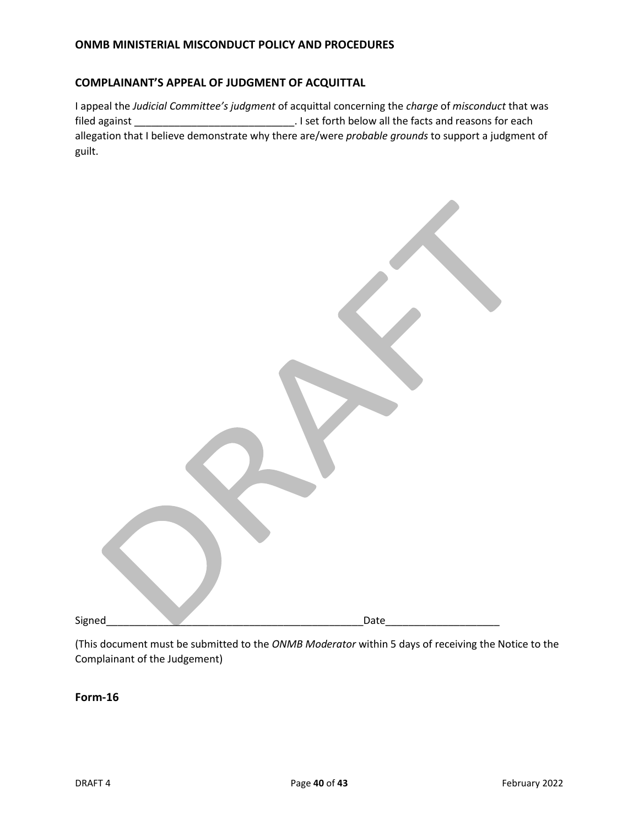### **COMPLAINANT'S APPEAL OF JUDGMENT OF ACQUITTAL**

I appeal the *Judicial Committee's judgment* of acquittal concerning the *charge* of *misconduct* that was filed against \_\_\_\_\_\_\_\_\_\_\_\_\_\_\_\_\_\_\_\_\_\_\_\_\_\_\_\_. I set forth below all the facts and reasons for each allegation that I believe demonstrate why there are/were *probable grounds* to support a judgment of guilt.

| Signed | Date |
|--------|------|
|        |      |

(This document must be submitted to the *ONMB Moderator* within 5 days of receiving the Notice to the Complainant of the Judgement)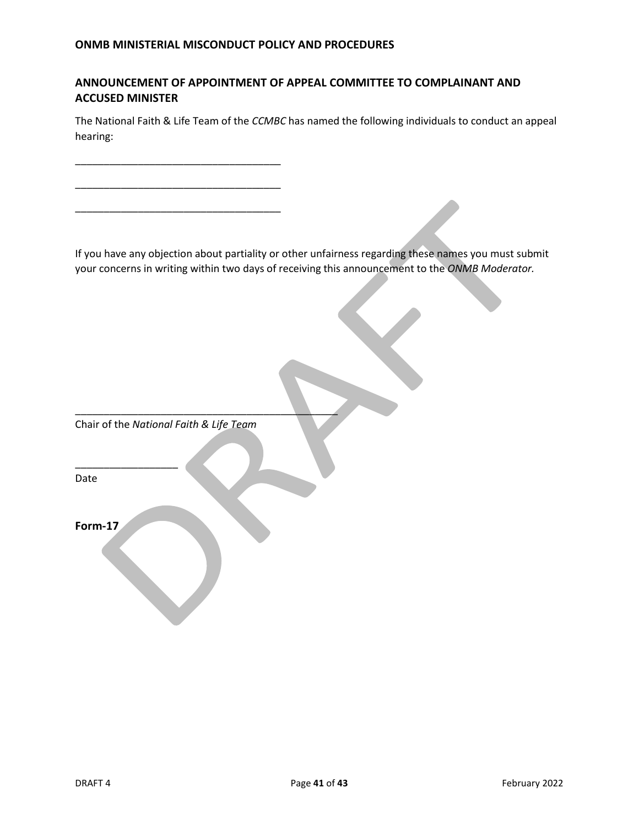# **ANNOUNCEMENT OF APPOINTMENT OF APPEAL COMMITTEE TO COMPLAINANT AND ACCUSED MINISTER**

The National Faith & Life Team of the *CCMBC* has named the following individuals to conduct an appeal hearing:

If you have any objection about partiality or other unfairness regarding these names you must submit your concerns in writing within two days of receiving this announcement to the *ONMB Moderator.*

Chair of the *National Faith & Life Team*

 $\overline{\phantom{a}}$  , and the set of the set of the set of the set of the set of the set of the set of the set of the set of the set of the set of the set of the set of the set of the set of the set of the set of the set of the s

\_\_\_\_\_\_\_\_\_\_\_\_\_\_\_\_\_\_\_\_\_\_\_\_\_\_\_\_\_\_\_\_\_\_\_\_

\_\_\_\_\_\_\_\_\_\_\_\_\_\_\_\_\_\_\_\_\_\_\_\_\_\_\_\_\_\_\_\_\_\_\_\_

\_\_\_\_\_\_\_\_\_\_\_\_\_\_\_\_\_\_\_\_\_\_\_\_\_\_\_\_\_\_\_\_\_\_\_\_

Date

**Form-17**

\_\_\_\_\_\_\_\_\_\_\_\_\_\_\_\_\_\_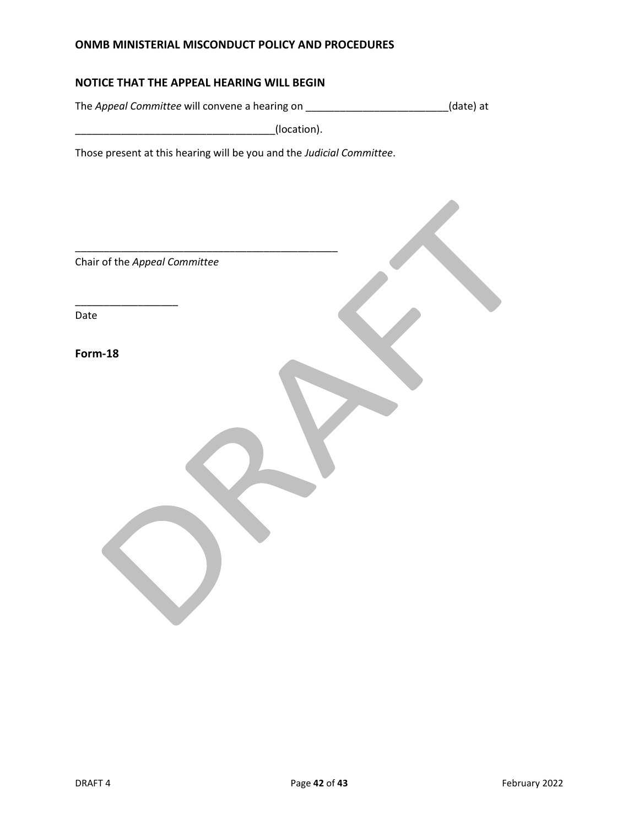### **NOTICE THAT THE APPEAL HEARING WILL BEGIN**

The *Appeal Committee* will convene a hearing on \_\_\_\_\_\_\_\_\_\_\_\_\_\_\_\_\_\_\_\_\_\_\_\_\_(date) at

\_\_\_\_\_\_\_\_\_\_\_\_\_\_\_\_\_\_\_\_\_\_\_\_\_\_\_\_\_\_\_\_\_\_\_(location).

\_\_\_\_\_\_\_\_\_\_\_\_\_\_\_\_\_\_\_\_\_\_\_\_\_\_\_\_\_\_\_\_\_\_\_\_\_\_\_\_\_\_\_\_\_\_

Those present at this hearing will be you and the *Judicial Committee*.

Chair of the *Appeal Committee*

\_\_\_\_\_\_\_\_\_\_\_\_\_\_\_\_\_\_

Date